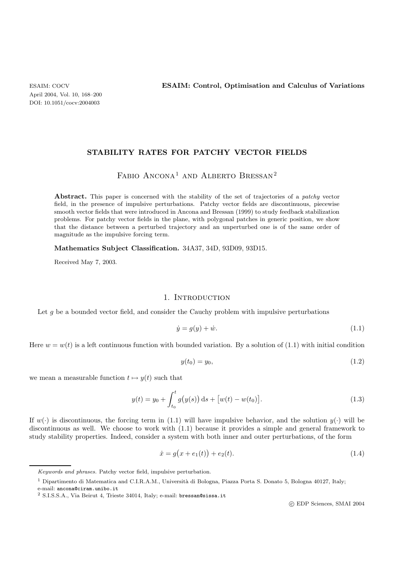## **STABILITY RATES FOR PATCHY VECTOR FIELDS**

# ${\rm F}{\rm A}{\rm B}{\rm I}{\rm O}$  Ancon ${\rm A}^1$  and Alberto Bressan $^2$

**Abstract.** This paper is concerned with the stability of the set of trajectories of a *patchy* vector field, in the presence of impulsive perturbations. Patchy vector fields are discontinuous, piecewise smooth vector fields that were introduced in Ancona and Bressan (1999) to study feedback stabilization problems. For patchy vector fields in the plane, with polygonal patches in generic position, we show that the distance between a perturbed trajectory and an unperturbed one is of the same order of magnitude as the impulsive forcing term.

**Mathematics Subject Classification.** 34A37, 34D, 93D09, 93D15.

Received May 7, 2003.

## 1. INTRODUCTION

Let  $g$  be a bounded vector field, and consider the Cauchy problem with impulsive perturbations

$$
\dot{y} = g(y) + \dot{w}.\tag{1.1}
$$

Here  $w = w(t)$  is a left continuous function with bounded variation. By a solution of (1.1) with initial condition

$$
y(t_0) = y_0,\t(1.2)
$$

we mean a measurable function  $t \mapsto y(t)$  such that

$$
y(t) = y_0 + \int_{t_0}^t g(y(s)) ds + [w(t) - w(t_0)].
$$
\n(1.3)

If  $w(\cdot)$  is discontinuous, the forcing term in (1.1) will have impulsive behavior, and the solution  $y(\cdot)$  will be discontinuous as well. We choose to work with (1.1) because it provides a simple and general framework to study stability properties. Indeed, consider a system with both inner and outer perturbations, of the form

$$
\dot{x} = g(x + e_1(t)) + e_2(t). \tag{1.4}
$$

c EDP Sciences, SMAI 2004

Keywords and phrases. Patchy vector field, impulsive perturbation.

<sup>&</sup>lt;sup>1</sup> Dipartimento di Matematica and C.I.R.A.M., Università di Bologna, Piazza Porta S. Donato 5, Bologna 40127, Italy; e-mail: ancona@ciram.unibo.it

<sup>2</sup> S.I.S.S.A., Via Beirut 4, Trieste 34014, Italy; e-mail: bressan@sissa.it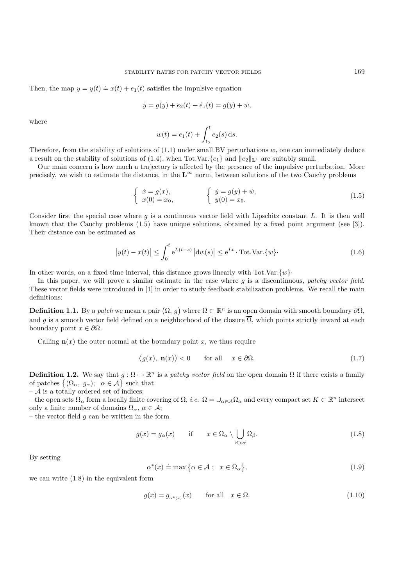Then, the map  $y = y(t) \doteq x(t) + e_1(t)$  satisfies the impulsive equation

$$
\dot{y} = g(y) + e_2(t) + \dot{e}_1(t) = g(y) + \dot{w},
$$

where

$$
w(t) = e_1(t) + \int_{t_0}^t e_2(s) \, ds.
$$

Therefore, from the stability of solutions of  $(1.1)$  under small BV perturbations  $w$ , one can immediately deduce a result on the stability of solutions of (1.4), when Tot.Var. $\{e_1\}$  and  $||e_2||_{\mathbf{L}^1}$  are suitably small.

Our main concern is how much a trajectory is affected by the presence of the impulsive perturbation. More precisely, we wish to estimate the distance, in the  $L^{\infty}$  norm, between solutions of the two Cauchy problems

$$
\begin{cases}\n\dot{x} = g(x), \\
x(0) = x_0,\n\end{cases}\n\qquad\n\begin{cases}\n\dot{y} = g(y) + \dot{w}, \\
y(0) = x_0.\n\end{cases}
$$
\n(1.5)

Consider first the special case where  $g$  is a continuous vector field with Lipschitz constant L. It is then well known that the Cauchy problems (1.5) have unique solutions, obtained by a fixed point argument (see [3]). Their distance can be estimated as

$$
\left| y(t) - x(t) \right| \le \int_0^t e^{L(t-s)} \left| \mathrm{d}w(s) \right| \le e^{Lt} \cdot \text{Tot.Var.}\{w\}.
$$
 (1.6)

In other words, on a fixed time interval, this distance grows linearly with Tot.Var. $\{w\}$ .

In this paper, we will prove a similar estimate in the case where g is a discontinuous, *patchy vector field*. These vector fields were introduced in [1] in order to study feedback stabilization problems. We recall the main definitions:

**Definition 1.1.** By a *patch* we mean a pair  $(\Omega, g)$  where  $\Omega \subset \mathbb{R}^n$  is an open domain with smooth boundary  $\partial\Omega$ , and g is a smooth vector field defined on a neighborhood of the closure  $\overline{\Omega}$ , which points strictly inward at each boundary point  $x \in \partial \Omega$ .

Calling  $\mathbf{n}(x)$  the outer normal at the boundary point x, we thus require

$$
\langle g(x), \mathbf{n}(x) \rangle < 0 \qquad \text{for all} \quad x \in \partial \Omega. \tag{1.7}
$$

**Definition 1.2.** We say that  $g : \Omega \to \mathbb{R}^n$  is a *patchy vector field* on the open domain  $\Omega$  if there exists a family of patches  $\{(\Omega_{\alpha}, g_{\alpha})\}\$  such that

 $-$  A is a totally ordered set of indices;

– the open sets  $\Omega_{\alpha}$  form a locally finite covering of  $\Omega$ , *i.e.*  $\Omega = \bigcup_{\alpha \in A} \Omega_{\alpha}$  and every compact set  $K \subset \mathbb{R}^n$  intersect only a finite number of domains  $\Omega_{\alpha}$ ,  $\alpha \in \mathcal{A}$ ;

– the vector field  $q$  can be written in the form

$$
g(x) = g_{\alpha}(x) \quad \text{if} \quad x \in \Omega_{\alpha} \setminus \bigcup_{\beta > \alpha} \Omega_{\beta}.
$$
 (1.8)

By setting

$$
\alpha^*(x) \doteq \max\big\{\alpha \in \mathcal{A} \; ; \; x \in \Omega_\alpha \big\},\tag{1.9}
$$

we can write (1.8) in the equivalent form

$$
g(x) = g_{\alpha^*(x)}(x) \qquad \text{for all} \quad x \in \Omega. \tag{1.10}
$$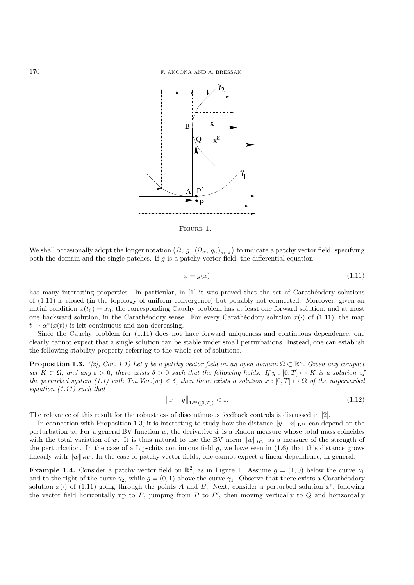

Figure 1.

We shall occasionally adopt the longer notation  $(\Omega, g, (\Omega_{\alpha}, g_{\alpha})_{\alpha \in A})$  to indicate a patchy vector field, specifying both the domain and the single patches. If  $q$  is a patchy vector field, the differential equation

$$
\dot{x} = g(x) \tag{1.11}
$$

has many interesting properties. In particular, in [1] it was proved that the set of Carathéodory solutions of (1.11) is closed (in the topology of uniform convergence) but possibly not connected. Moreover, given an initial condition  $x(t_0) = x_0$ , the corresponding Cauchy problem has at least one forward solution, and at most one backward solution, in the Carathéodory sense. For every Carathéodory solution  $x(\cdot)$  of (1.11), the map  $t \mapsto \alpha^*(x(t))$  is left continuous and non-decreasing.

Since the Cauchy problem for (1.11) does not have forward uniqueness and continuous dependence, one clearly cannot expect that a single solution can be stable under small perturbations. Instead, one can establish the following stability property referring to the whole set of solutions.

**Proposition 1.3.** *([2], Cor. 1.1) Let g be a patchy vector field on an open domain*  $\Omega \subset \mathbb{R}^n$ *. Given any compact*  $set K \subset \Omega$ , and any  $\varepsilon > 0$ , there exists  $\delta > 0$  such that the following holds. If  $y : [0, T] \mapsto K$  is a solution of *the perturbed system (1.1) with Tot.Var.*(w)  $\lt \delta$ , then there exists a solution  $x : [0, T] \mapsto \Omega$  of the unperturbed *equation (1.11) such that*

$$
\|x - y\|_{\mathbf{L}^{\infty}([0,T])} < \varepsilon. \tag{1.12}
$$

The relevance of this result for the robustness of discontinuous feedback controls is discussed in [2].

In connection with Proposition 1.3, it is interesting to study how the distance  $||y - x||_{\mathbf{L}^{\infty}}$  can depend on the perturbation w. For a general BV function  $w$ , the derivative  $\dot{w}$  is a Radon measure whose total mass coincides with the total variation of w. It is thus natural to use the BV norm  $||w||_{BV}$  as a measure of the strength of the perturbation. In the case of a Lipschitz continuous field  $g$ , we have seen in (1.6) that this distance grows linearly with  $||w||_{BV}$ . In the case of patchy vector fields, one cannot expect a linear dependence, in general.

**Example 1.4.** Consider a patchy vector field on  $\mathbb{R}^2$ , as in Figure 1. Assume  $g = (1,0)$  below the curve  $\gamma_1$ and to the right of the curve  $\gamma_2$ , while  $g = (0, 1)$  above the curve  $\gamma_1$ . Observe that there exists a Carathéodory solution  $x(\cdot)$  of (1.11) going through the points A and B. Next, consider a perturbed solution  $x^{\varepsilon}$ , following the vector field horizontally up to  $P$ , jumping from  $P$  to  $P'$ , then moving vertically to  $Q$  and horizontally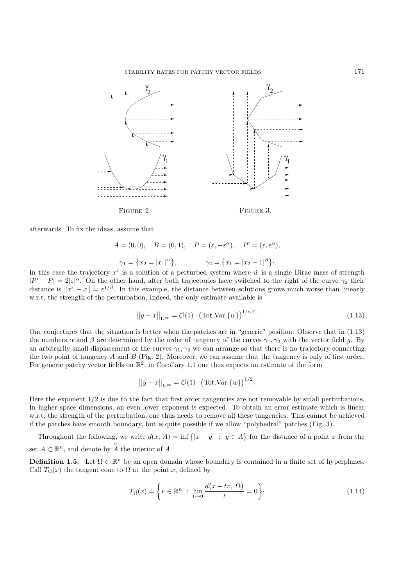

afterwards. To fix the ideas, assume that

$$
A = (0,0), \quad B = (0,1), \quad P = (\varepsilon, -\varepsilon^{\alpha}), \quad P' = (\varepsilon, \varepsilon^{\alpha}),
$$

$$
\gamma_1 = \{x_2 = |x_1|^{\alpha}\}, \qquad \gamma_2 = \{x_1 = |x_2 - 1|^{\beta}\}.
$$

In this case the trajectory  $x^{\epsilon}$  is a solution of a perturbed system where  $\dot{w}$  is a single Dirac mass of strength  $|P' - P| = 2|\varepsilon|^{\alpha}$ . On the other hand, after both trajectories have switched to the right of the curve  $\gamma_2$  their distance is  $\|x^{\varepsilon} - x\| = \varepsilon^{1/\beta}$ . In this example, the distance between solutions grows much worse than linearly w.r.t. the strength of the perturbation, Indeed, the only estimate available is

$$
||y - x||_{\mathbf{L}^{\infty}} = \mathcal{O}(1) \cdot (\text{Tot.Var.}\{w\})^{1/\alpha\beta}.
$$
 (1.13)

One conjectures that the situation is better when the patches are in "generic" position. Observe that in (1.13) the numbers  $\alpha$  and  $\beta$  are determined by the order of tangency of the curves  $\gamma_1, \gamma_2$  with the vector field g. By an arbitrarily small displacement of the curves  $\gamma_1, \gamma_2$  we can arrange so that there is no trajectory connecting the two point of tangency A and B (Fig. 2). Moreover, we can assume that the tangency is only of first order. For generic patchy vector fields on  $\mathbb{R}^2$ , in Corollary 1.1 one thus expects an estimate of the form

$$
||y - x||_{\mathbf{L}^{\infty}} = \mathcal{O}(1) \cdot (\text{Tot.Var.}\{w\})^{1/2}.
$$

Here the exponent 1/2 is due to the fact that first order tangencies are not removable by small perturbations. In higher space dimensions, an even lower exponent is expected. To obtain an error estimate which is linear w.r.t. the strength of the perturbation, one thus needs to remove all these tangencies. This cannot be achieved if the patches have smooth boundary, but is quite possible if we allow "polyhedral" patches (Fig. 3).

Throughout the following, we write  $d(x, A) = \inf \{|x - y| : y \in A\}$  for the distance of a point x from the set  $A \subset \mathbb{R}^n$ , and denote by  $\overset{\circ}{A}$  the interior of A.

**Definition 1.5.** Let  $\Omega \subset \mathbb{R}^n$  be an open domain whose boundary is contained in a finite set of hyperplanes. Call  $T_{\Omega}(x)$  the tangent cone to  $\Omega$  at the point x, defined by

$$
T_{\Omega}(x) \doteq \left\{ v \in \mathbb{R}^n \; : \; \lim_{t \to 0} \frac{d(x + tv, \; \Omega)}{t} = 0 \right\}.
$$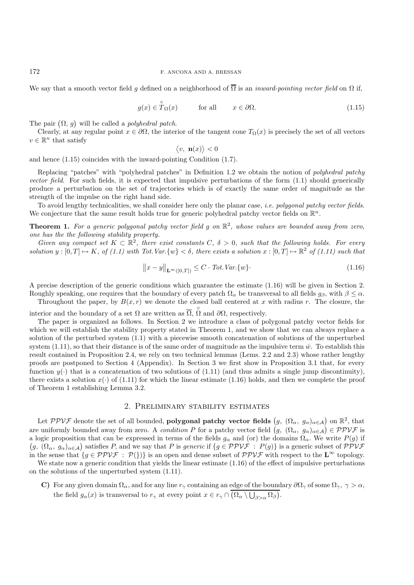We say that a smooth vector field q defined on a neighborhood of  $\overline{\Omega}$  is an *inward-pointing vector field* on  $\Omega$  if,

$$
g(x) \in \overset{\circ}{T}_{\Omega}(x) \qquad \text{for all} \qquad x \in \partial \Omega. \tag{1.15}
$$

The pair  $(\Omega, g)$  will be called a *polyhedral patch*.

Clearly, at any regular point  $x \in \partial\Omega$ , the interior of the tangent cone  $T_{\Omega}(x)$  is precisely the set of all vectors  $v \in \mathbb{R}^n$  that satisfy

$$
\langle v, \mathbf{n}(x) \rangle < 0
$$

and hence (1.15) coincides with the inward-pointing Condition (1.7).

Replacing "patches" with "polyhedral patches" in Definition 1.2 we obtain the notion of *polyhedral patchy vector field.* For such fields, it is expected that impulsive perturbations of the form  $(1.1)$  should generically produce a perturbation on the set of trajectories which is of exactly the same order of magnitude as the strength of the impulse on the right hand side.

To avoid lengthy technicalities, we shall consider here only the planar case, *i.e. polygonal patchy vector fields*. We conjecture that the same result holds true for generic polyhedral patchy vector fields on  $\mathbb{R}^n$ .

**Theorem 1.** *For a generic polygonal patchy vector field* g *on* R<sup>2</sup>*, whose values are bounded away from zero, one has the the following stability property.*

*Given any compact set*  $K \subset \mathbb{R}^2$ , there exist constants C,  $\delta > 0$ , such that the following holds. For every *solution*  $y : [0, T] \rightarrow K$ , of (1.1) with Tot.Var. $\{w\} < \delta$ , there exists a solution  $x : [0, T] \rightarrow \mathbb{R}^2$  of (1.11) such that

$$
||x - y||_{\mathbf{L}^{\infty}([0,T])} \leq C \cdot \operatorname{Tot}.\operatorname{Var}\{w\}.
$$
 (1.16)

A precise description of the generic conditions which guarantee the estimate (1.16) will be given in Section 2. Roughly speaking, one requires that the boundary of every patch  $\Omega_{\alpha}$  be transversal to all fields  $g_{\beta}$ , with  $\beta \leq \alpha$ .

Throughout the paper, by  $B(x, r)$  we denote the closed ball centered at x with radius r. The closure, the

interior and the boundary of a set  $\Omega$  are written as  $\overline{\Omega}$ ,  $\overset{\circ}{\Omega}$  and  $\partial\Omega$ , respectively.

The paper is organized as follows. In Section 2 we introduce a class of polygonal patchy vector fields for which we will establish the stability property stated in Theorem 1, and we show that we can always replace a solution of the perturbed system (1.1) with a piecewise smooth concatenation of solutions of the unperturbed system  $(1.11)$ , so that their distance is of the same order of magnitude as the impulsive term  $\dot{w}$ . To establish this result contained in Proposition 2.4, we rely on two technical lemmas (Lems. 2.2 and 2.3) whose rather lengthy proofs are postponed to Section 4 (Appendix). In Section 3 we first show in Proposition 3.1 that, for every function  $y(\cdot)$  that is a concatenation of two solutions of (1.11) (and thus admits a single jump discontinuity), there exists a solution  $x(\cdot)$  of (1.11) for which the linear estimate (1.16) holds, and then we complete the proof of Theorem 1 establishing Lemma 3.2.

## 2. Preliminary stability estimates

Let  $PPV\mathcal{F}$  denote the set of all bounded, **polygonal patchy vector fields**  $(g, (\Omega_{\alpha}, g_{\alpha})_{\alpha \in \mathcal{A}})$  on  $\mathbb{R}^{2}$ , that are uniformly bounded away from zero. A *condition* P for a patchy vector field  $(g, (\Omega_{\alpha}, g_{\alpha})_{\alpha \in \mathcal{A}}) \in \mathcal{PPVF}$  is a logic proposition that can be expressed in terms of the fields  $g_{\alpha}$  and (or) the domains  $\Omega_{\alpha}$ . We write  $P(g)$  if  $(g, (\Omega_{\alpha}, g_{\alpha})_{\alpha \in A})$  satisfies P, and we say that P is *generic* if  $\{g \in \mathcal{PPVF} : P(g)\}$  is a generic subset of PPVF<br>in the cancer that  $\{g \in \mathcal{PPVF} : P(1)\}$  is an appen and dance subset of PPVF with perpect to the  $I^{\infty$ in the sense that  ${g \in \mathcal{PPVF} : \mathcal{P}}$   $\})$  is an open and dense subset of  $\mathcal{PPVF}$  with respect to the  $\mathbf{L}^{\infty}$  topology.

We state now a generic condition that yields the linear estimate  $(1.16)$  of the effect of impulsive perturbations on the solutions of the unperturbed system (1.11).

**C)** For any given domain  $\Omega_{\alpha}$ , and for any line  $r_{\gamma}$  containing an edge of the boundary  $\partial\Omega_{\gamma}$  of some  $\Omega_{\gamma}$ ,  $\gamma > \alpha$ , the field  $g_{\alpha}(x)$  is transversal to  $r_{\gamma}$  at every point  $x \in r_{\gamma} \cap (\Omega_{\alpha} \setminus \bigcup_{\beta > \alpha} \Omega_{\beta}).$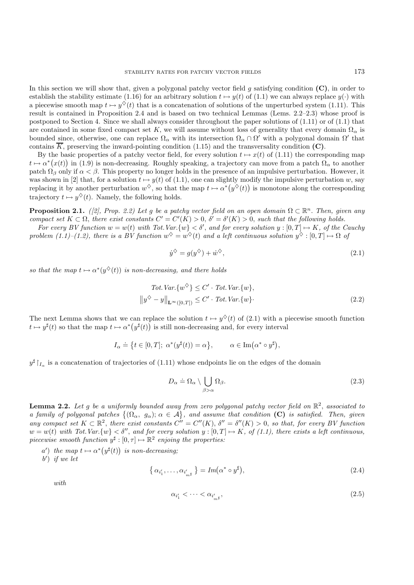In this section we will show that, given a polygonal patchy vector field g satisfying condition **(C)**, in order to establish the stability estimate (1.16) for an arbitrary solution  $t \mapsto y(t)$  of (1.1) we can always replace  $y(\cdot)$  with a piecewise smooth map  $t \mapsto y^{\diamond}(t)$  that is a concatenation of solutions of the unperturbed system (1.11). This result is contained in Proposition 2.4 and is based on two technical Lemmas (Lems. 2.2–2.3) whose proof is postponed to Section 4. Since we shall always consider throughout the paper solutions of  $(1.11)$  or of  $(1.1)$  that are contained in some fixed compact set K, we will assume without loss of generality that every domain  $\Omega_{\alpha}$  is bounded since, otherwise, one can replace  $\Omega_{\alpha}$  with its intersection  $\Omega_{\alpha} \cap \Omega'$  with a polygonal domain  $\Omega'$  that contains  $\overline{K}$ , preserving the inward-pointing condition (1.15) and the transversality condition (C).

By the basic properties of a patchy vector field, for every solution  $t \mapsto x(t)$  of (1.11) the corresponding map  $t \mapsto \alpha^*(x(t))$  in (1.9) is non-decreasing. Roughly speaking, a trajectory can move from a patch  $\Omega_{\alpha}$  to another patch  $\Omega_{\beta}$  only if  $\alpha < \beta$ . This property no longer holds in the presence of an impulsive perturbation. However, it was shown in [2] that, for a solution  $t \mapsto y(t)$  of (1.1), one can slightly modify the impulsive perturbation w, say replacing it by another perturbation  $w^{\diamond}$ , so that the map  $t \mapsto \alpha^*(y^{\diamond}(t))$  is monotone along the corresponding trajectory  $t \mapsto y^{\diamond}(t)$ . Namely, the following holds.

**Proposition 2.1.** *([2], Prop. 2.2)* Let g be a patchy vector field on an open domain  $\Omega \subset \mathbb{R}^n$ . Then, given any *compact set*  $K \subset \Omega$ , *there exist constants*  $C' = C'(K) > 0$ ,  $\delta' = \delta'(K) > 0$ , such that the following holds.

For every BV function  $w = w(t)$  with Tot.Var. $\{w\} < \delta'$ , and for every solution  $y : [0, T] \mapsto K$ , of the Cauchy *problem (1.1)–(1.2), there is a BV function*  $w^{\diamondsuit} = w^{\diamondsuit}(t)$  *and a left continuous solution*  $y^{\diamondsuit} : [0, T] \mapsto \Omega$  of

$$
\dot{y}^{\diamondsuit} = g(y^{\diamondsuit}) + \dot{w}^{\diamondsuit},\tag{2.1}
$$

*so that the map*  $t \mapsto \alpha^*(y^{\diamondsuit}(t))$  *is non-decreasing, and there holds* 

$$
Tot. Var.\{w^{\diamond}\} \leq C' \cdot Tot. Var.\{w\},
$$

$$
||y^{\diamond} - y||_{\mathbf{L}^{\infty}([0,T])} \leq C' \cdot Tot. Var.\{w\}.
$$
 (2.2)

The next Lemma shows that we can replace the solution  $t \mapsto y^{\diamond}(t)$  of (2.1) with a piecewise smooth function  $t \mapsto y^{\sharp}(t)$  so that the map  $t \mapsto \alpha^{*}(y^{\sharp}(t))$  is still non-decreasing and, for every interval

$$
I_{\alpha} \doteq \left\{ t \in [0, T]; \ \alpha^*(y^{\sharp}(t)) = \alpha \right\}, \qquad \alpha \in \text{Im}(\alpha^* \circ y^{\sharp}),
$$

 $y^{\sharp}$   $\uparrow$ <sub>L<sub>c</sub></sub> is a concatenation of trajectories of (1.11) whose endpoints lie on the edges of the domain

$$
D_{\alpha} \doteq \Omega_{\alpha} \setminus \bigcup_{\beta > \alpha} \Omega_{\beta}.
$$
 (2.3)

**Lemma 2.2.** *Let* g *be a uniformly bounded away from zero polygonal patchy vector field on* R<sup>2</sup>, *associated to a family of polygonal patches*  $\{(\Omega_\alpha, g_\alpha); \alpha \in A\}$ , and assume that condition **(C)** is satisfied. Then, given *any compact set*  $K \subset \mathbb{R}^2$ , *there exist constants*  $C'' = C''(K)$ ,  $\delta'' = \delta''(K) > 0$ , *so that, for every BV function*  $w = w(t)$  with Tot.Var. $\{w\} < \delta''$ , and for every solution  $y : [0, T] \mapsto K$ , of (1.1), there exists a left continuous, *piecewise smooth function*  $y^{\sharp}$  :  $[0, \tau] \mapsto \mathbb{R}^2$  *enjoing the properties:* 

- $a'$ ) the map  $t \mapsto \alpha^*(y^{\sharp}(t))$  is non-decreasing;
- b ) *if we let*

$$
\left\{ \alpha_{i'_1}, \dots, \alpha_{i'_{m^\sharp}} \right\} = Im(\alpha^* \circ y^\sharp), \tag{2.4}
$$

*with*

$$
\alpha_{i'_1} < \cdots < \alpha_{i'_{m^\sharp}},\tag{2.5}
$$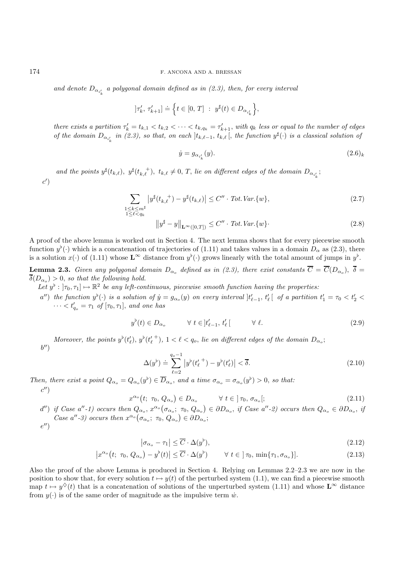and denote  $D_{\alpha_{i'_k}}$  a polygonal domain defined as in (2.3), then, for every interval

$$
]\tau_k',\,\tau_{k+1}'']\doteq\Big\{t\in[0,\,T]\ :\ y^\sharp(t)\in D_{\alpha_{i_k}'}\Big\},
$$

*there exists a partition*  $\tau'_k = t_{k,1} < t_{k,2} < \cdots < t_{k,q_k} = \tau'_{k+1}$ , with  $q_k$  less or equal to the number of edges *of the domain*  $D_{\alpha_{i'_k}}$  *in (2.3), so that, on each*  $]t_{k,\ell-1}, t_{k,\ell}$ , *the function*  $y^{\sharp}(\cdot)$  *is a classical solution of* 

$$
\dot{y} = g_{\alpha_{i'_k}}(y). \tag{2.6}
$$

and the points  $y^{\sharp}(t_{k,\ell}), y^{\sharp}(t_{k,\ell}^+), t_{k,\ell} \neq 0, T$ , *lie on different edges of the domain*  $D_{\alpha_{i_k'}}$ ;  $c^{\prime})$ 

$$
\sum_{\substack{1 \le k \le m^{\sharp} \\ 1 \le \ell < q_k}} \left| y^{\sharp}(t_{k,\ell}^+) - y^{\sharp}(t_{k,\ell}) \right| \le C'' \cdot \text{Tot.} \text{Var.}\{w\},\tag{2.7}
$$

$$
\|y^{\sharp} - y\|_{\mathbf{L}^{\infty}([0,T])} \le C'' \cdot \operatorname{Tot}.\operatorname{Var}\{\omega\}.
$$
 (2.8)

A proof of the above lemma is worked out in Section 4. The next lemma shows that for every piecewise smooth function  $y^{\flat}(\cdot)$  which is a concatenation of trajectories of (1.11) and takes values in a domain  $D_{\alpha}$  as (2.3), there is a solution  $x(\cdot)$  of (1.11) whose  $\mathbf{L}^{\infty}$  distance from  $y^{\flat}(\cdot)$  grows linearly with the total amount of jumps in  $y^{\flat}$ .

**Lemma 2.3.** *Given any polygonal domain*  $D_{\alpha}$  *defined as in (2.3), there exist constants*  $\overline{C} = \overline{C}(D_{\alpha}$ *,*  $\overline{\delta} =$  $\overline{\delta}(D_{\alpha_0}) > 0$ , so that the following hold.

- Let  $y^{\flat}: [\tau_0, \tau_1] \mapsto \mathbb{R}^2$  *be any left-continuous, piecewise smooth function having the properties:* 
	- $a''$ ) the function  $y^{\flat}(\cdot)$  is a solution of  $\dot{y} = g_{\alpha_o}(y)$  on every interval  $]t'_{\ell-1}, t'_{\ell}$  of a partition  $t'_1 = \tau_0 < t'_2 <$  $\cdots < t'_{q_o} = \tau_1$  *of*  $[\tau_0, \tau_1]$ , *and one has*

$$
y^{\flat}(t) \in D_{\alpha_o} \qquad \forall \ t \in ]t'_{\ell-1}, t'_{\ell} \, [ \qquad \forall \ \ell. \tag{2.9}
$$

*Moreover, the points*  $y^{\flat}(t'_{\ell}), y^{\flat}(t'_{\ell}^+), 1 < \ell < q_o$ , *lie on different edges of the domain*  $D_{\alpha_o}$ ;  $h^{\prime\prime}$ 

$$
\Delta(y^{\flat}) \doteq \sum_{\ell=2}^{q_o - 1} |y^{\flat}(t_{\ell}^{\prime +}) - y^{\flat}(t_{\ell}^{\prime})| < \overline{\delta}.
$$
\n
$$
(2.10)
$$

*Then, there exist a point*  $Q_{\alpha_o} = Q_{\alpha_o}(y^{\flat}) \in D_{\alpha_o}$ , and a time  $\sigma_{\alpha_o} = \sigma_{\alpha_o}(y^{\flat}) > 0$ , so that:

 $c'$ 

$$
x^{\alpha_o}(t; \tau_0, Q_{\alpha_o}) \in D_{\alpha_o} \qquad \forall \ t \in ]\tau_0, \sigma_{\alpha_o}[; \qquad (2.11)
$$

 $(d'')$  if Case  $a''$ -1) occurs then  $Q_{\alpha_o}$ ,  $x^{\alpha_o}(\sigma_{\alpha_o}; \tau_0, Q_{\alpha_o}) \in \partial D_{\alpha_o}$ , if Case  $a''$ -2) occurs then  $Q_{\alpha_o} \in \partial D_{\alpha_o}$ , if *Case a''-3)* occurs then  $x^{\alpha_o}(\sigma_{\alpha_o}; \tau_0, Q_{\alpha_o}) \in \partial D_{\alpha_o};$ 

$$
e'')
$$

 $|\sigma_{\alpha_o} - \tau_1| \leq \overline{C} \cdot \Delta(y^{\flat})$  $(2.12)$ 

$$
\left|x^{\alpha_o}\left(t; \ \tau_0, \ Q_{\alpha_o}\right) - y^{\flat}(t)\right| \leq \overline{C} \cdot \Delta(y^{\flat}) \qquad \forall \ t \in \left] \tau_0, \ \min\{\tau_1, \sigma_{\alpha_o}\}\right].\tag{2.13}
$$

Also the proof of the above Lemma is produced in Section 4. Relying on Lemmas 2.2–2.3 we are now in the position to show that, for every solution  $t \mapsto y(t)$  of the perturbed system (1.1), we can find a piecewise smooth map  $t \mapsto y^{\diamond}(t)$  that is a concatenation of solutions of the unperturbed system (1.11) and whose  $\mathbf{L}^{\infty}$  distance from  $y(\cdot)$  is of the same order of magnitude as the impulsive term  $\dot{w}$ .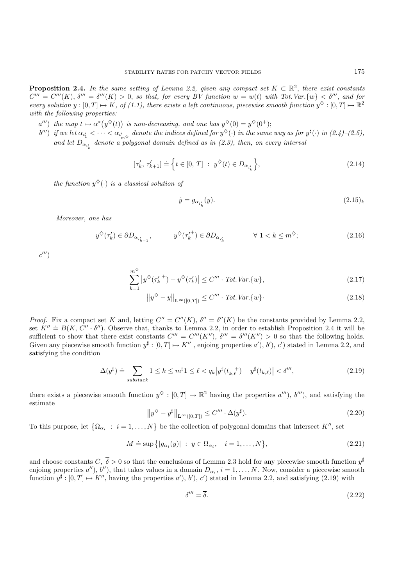**Proposition 2.4.** *In the same setting of Lemma 2.2, given any compact set*  $K \subset \mathbb{R}^2$ , *there exist constants*  $C''' = C'''(K)$ ,  $\delta''' = \delta'''(K) > 0$ , so that, for every BV function  $w = w(t)$  with Tot. Var.  $\{w\} < \delta'''$ , and for *every solution*  $y : [0, T] \mapsto K$ , of (1.1), there exists a left continuous, piecewise smooth function  $y^{\diamond} : [0, T] \mapsto \mathbb{R}^2$ *with the following properties:*

- $a''')$  the map  $t \mapsto \alpha^*(y^{\diamondsuit}(t))$  is non-decreasing, and one has  $y^{\diamondsuit}(0) = y^{\diamondsuit}(0^+);$
- $b'''$ ) if we let  $\alpha_{i'_1} < \cdots < \alpha_{i'_{m^{\diamond}}}$  denote the indices defined for  $y^{\diamond}(\cdot)$  in the same way as for  $y^{\sharp}(\cdot)$  in  $(2.4)-(2.5)$ , and let  $D_{\alpha_{i'_k}}$  denote a polygonal domain defined as in  $(2.3)$ , then, on every interval

$$
[\tau'_{k}, \tau'_{k+1}] \doteq \left\{ t \in [0, T] : y^{\diamondsuit}(t) \in D_{\alpha_{i'_{k}}} \right\},\tag{2.14}
$$

*the function*  $y^{\diamondsuit}(\cdot)$  *is a classical solution of* 

$$
\dot{y} = g_{\alpha_{i'_k}}(y). \tag{2.15}
$$

*Moreover, one has*

$$
y^{\diamondsuit}(\tau'_{k}) \in \partial D_{\alpha_{i'_{k-1}}}, \qquad y^{\diamondsuit}(\tau'^{+}_{k}) \in \partial D_{\alpha_{i'_{k}}}, \qquad \forall 1 < k \leq m^{\diamondsuit}; \qquad (2.16)
$$

 $c^{\prime\prime\prime}$ 

$$
\sum_{k=1}^{m^{\diamond}} \left| y^{\diamond} (\tau_k'^+) - y^{\diamond} (\tau_k') \right| \le C''' \cdot \text{Tot.} \text{Var.} \{ w \},\tag{2.17}
$$

$$
\|y^{\diamondsuit} - y\|_{\mathbf{L}^{\infty}([0,T])} \le C''' \cdot \operatorname{Tot}.\operatorname{Var}\{w\}.
$$
\n(2.18)

*Proof.* Fix a compact set K and, letting  $C'' = C''(K)$ ,  $\delta'' = \delta''(K)$  be the constants provided by Lemma 2.2, set  $K'' \doteq B(K, C'' \cdot \delta'')$ . Observe that, thanks to Lemma 2.2, in order to establish Proposition 2.4 it will be sufficient to show that there exist constants  $C''' = C'''(K'')$ ,  $\delta''' = \delta'''(K'') > 0$  so that the following holds. Given any piecewise smooth function  $y^{\sharp}:[0,T] \mapsto K''$ , enjoing properties  $a'$ ,  $b'$ ,  $c'$ ) stated in Lemma 2.2, and satisfying the condition

$$
\Delta(y^{\sharp}) \doteq \sum_{\text{substack}} 1 \le k \le m^{\sharp} \mathbf{1} \le \ell < q_k |y^{\sharp}(t_{k,\ell}^+) - y^{\sharp}(t_{k,\ell})| < \delta^{\prime\prime\prime},\tag{2.19}
$$

there exists a piecewise smooth function  $y^{\diamond} : [0, T] \mapsto \mathbb{R}^2$  having the properties  $a'''$ ,  $b'''$ , and satisfying the estimate

$$
\|y^{\diamondsuit} - y^{\sharp}\|_{\mathbf{L}^{\infty}([0,T])} \le C''' \cdot \Delta(y^{\sharp}).\tag{2.20}
$$

To this purpose, let  $\{\Omega_{\alpha_i} : i = 1, ..., N\}$  be the collection of polygonal domains that intersect  $K''$ , set

$$
M \doteq \sup\{|g_{\alpha_i}(y)| \; : \; y \in \Omega_{\alpha_i}, \quad i = 1, \dots, N\},\tag{2.21}
$$

and choose constants  $\overline{C}$ ,  $\overline{\delta} > 0$  so that the conclusions of Lemma 2.3 hold for any piecewise smooth function  $y^{\sharp}$ enjoing properties a''), b''), that takes values in a domain  $D_{\alpha_i}$ ,  $i = 1, \ldots, N$ . Now, consider a piecewise smooth function  $y^{\sharp}: [0, T] \mapsto K''$ , having the properties  $a'$ ,  $b'$ ,  $c'$ ) stated in Lemma 2.2, and satisfying (2.19) with

$$
\delta''' = \overline{\delta}.\tag{2.22}
$$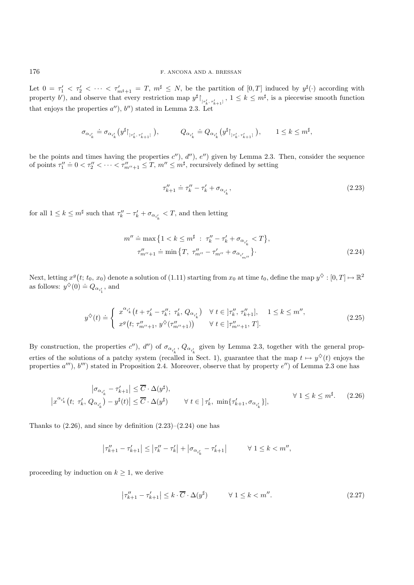Let  $0 = \tau_1' < \tau_2' < \cdots < \tau_{m^{\sharp}+1}' = T$ ,  $m^{\sharp} \leq N$ , be the partition of  $[0,T]$  induced by  $y^{\sharp}(\cdot)$  according with property b'), and observe that every restriction map  $y^{\sharp}$   $\upharpoonright_{r_k', r_{k+1}'}$ ,  $1 \leq k \leq m^{\sharp}$ , is a piecewise smooth function that enjoys the properties  $a'$ ),  $b'$ ) stated in Lemma 2.3. Let

$$
\sigma_{\alpha_{i_k'}}\doteq \sigma_{\alpha_{i_k'}}\big(y^\sharp\vert_{\mathbf{p}_{k}',\,\tau_{k+1}'}\,\big),\hspace{1cm} Q_{\alpha_{i_k'}}\doteq Q_{\alpha_{i_k'}}\big(y^\sharp\vert_{\mathbf{p}_{k}',\,\tau_{k+1}'}\,\big),\hspace{5mm} 1\leq k\leq m^\sharp,
$$

be the points and times having the properties  $c'$ ,  $d''$ ,  $e''$ ) given by Lemma 2.3. Then, consider the sequence of points  $\tau_1'' \doteq 0 < \tau_2'' < \cdots < \tau_{m''+1}'' \leq T$ ,  $m'' \leq m^{\sharp}$ , recursively defined by setting

$$
\tau_{k+1}^{\prime\prime} \doteq \tau_k^{\prime\prime} - \tau_k^{\prime} + \sigma_{\alpha_{i_k}^{\prime}},\tag{2.23}
$$

for all  $1 \leq k \leq m^{\sharp}$  such that  $\tau_k'' - \tau_k' + \sigma_{\alpha_{i'_k}} < T$ , and then letting

$$
m'' \doteq \max \{ 1 < k \le m^{\sharp} \; : \; \tau_k'' - \tau_k' + \sigma_{\alpha_{i'_k}} < T \},
$$
\n
$$
\tau_{m''+1}'' \doteq \min \{ T, \; \tau_{m''}'' - \tau_{m''}' + \sigma_{\alpha_{i'_{m''}}} \}.
$$
\n(2.24)

Next, letting  $x^g(t; t_0, x_0)$  denote a solution of  $(1.11)$  starting from  $x_0$  at time  $t_0$ , define the map  $y^{\diamondsuit}: [0, T] \mapsto \mathbb{R}^2$ as follows:  $y^{\diamond}(0) \doteq Q_{\alpha_{i'_1}}$ , and

$$
y^{\diamondsuit}(t) \doteq \begin{cases} x^{\alpha_{i'_{k}}}(t + \tau'_{k} - \tau''_{k}; \ \tau'_{k}, Q_{\alpha_{i'_{k}}}) & \forall \ t \in ]\tau''_{k}, \ \tau''_{k+1}], \quad 1 \leq k \leq m'',\\ x^{g}\left(t; \ \tau''_{m''+1}, \ y^{\diamondsuit}(\tau''_{m''+1})\right) & \forall \ t \in ]\tau''_{m''+1}, \ T]. \end{cases} \tag{2.25}
$$

By construction, the properties  $c'$ ),  $d''$ ) of  $\sigma_{\alpha_{i'_k}}$ ,  $Q_{\alpha_{i'_k}}$  given by Lemma 2.3, together with the general properties of the solutions of a patchy system (recalled in Sect. 1), guarantee that the map  $t \mapsto y^{\diamond}(t)$  enjoys the properties  $a''$ ,  $b'''$ ) stated in Proposition 2.4. Moreover, observe that by property  $e''$ ) of Lemma 2.3 one has

$$
\left|\sigma_{\alpha_{i'_{k}}}-\tau'_{k+1}\right| \leq \overline{C} \cdot \Delta(y^{\sharp}),
$$
\n
$$
\left|x^{\alpha_{i'_{k}}}\left(t; \ \tau'_{k}, \ Q_{\alpha_{i'_{k}}}\right)-y^{\sharp}(t)\right| \leq \overline{C} \cdot \Delta(y^{\sharp}) \qquad \forall \ t \in \left]\tau'_{k}, \ \min\{\tau'_{k+1}, \sigma_{\alpha_{i'_{k}}}\}\right],
$$
\n
$$
\forall \ 1 \leq k \leq m^{\sharp}. \tag{2.26}
$$

Thanks to  $(2.26)$ , and since by definition  $(2.23)$ – $(2.24)$  one has

$$
\left|\tau''_{k+1} - \tau'_{k+1}\right| \le \left|\tau''_{k} - \tau'_{k}\right| + \left|\sigma_{\alpha_{i'_{k}}} - \tau'_{k+1}\right| \qquad \forall 1 \le k < m'',
$$

proceeding by induction on  $k \geq 1$ , we derive

$$
\left|\tau_{k+1}'' - \tau_{k+1}'\right| \le k \cdot \overline{C} \cdot \Delta(y^{\sharp}) \qquad \forall \ 1 \le k < m''. \tag{2.27}
$$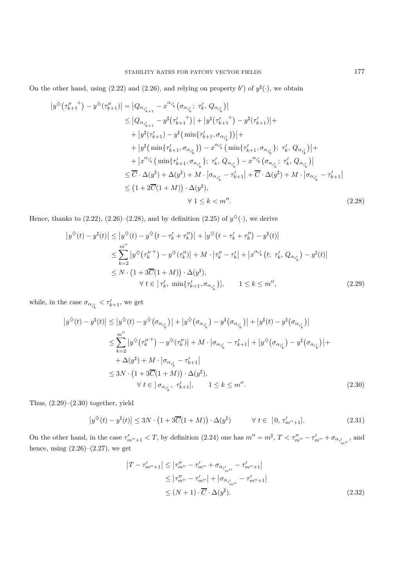On the other hand, using (2.22) and (2.26), and relying on property b') of  $y^{\sharp}(\cdot)$ , we obtain

$$
|y^{\diamond}(\tau_{k+1}''^{+}) - y^{\diamond}(\tau_{k+1}'')| = |Q_{\alpha_{i'_{k+1}}} - x^{\alpha_{i'_{k}}}(\sigma_{\alpha_{i'_{k}}}; \tau_{k}', Q_{\alpha_{i'_{k}}})|
$$
  
\n
$$
\leq |Q_{\alpha_{i'_{k+1}}} - y^{\sharp}(\tau_{k+1}'+1)| + |y^{\sharp}(\tau_{k+1}'+1) - y^{\sharp}(\tau_{k+1}')| + |y^{\sharp}(\tau_{k+1}'+1) - y^{\sharp}(\tau_{k+1}'+1)| + |y^{\sharp}(\tau_{k+1}'+1) - y^{\sharp}(\min\{\tau_{k+1}', \sigma_{\alpha_{i'_{k}}}\})| + |y^{\sharp}(\min\{\tau_{k+1}', \sigma_{\alpha_{i'_{k}}}\}) - x^{\alpha_{i'_{k}}}(\min\{\tau_{k+1}', \sigma_{\alpha_{i'_{k}}}\}; \tau_{k}', Q_{\alpha_{i'_{k}}})| + |x^{\alpha_{i'_{k}}}(\min\{\tau_{k+1}', \sigma_{\alpha_{i'_{k}}}\}; \tau_{k}', Q_{\alpha_{i'_{k}}}) - x^{\alpha_{i'_{k}}}(\sigma_{\alpha_{i'_{k}}}; \tau_{k}', Q_{\alpha_{i'_{k}}})|
$$
  
\n
$$
\leq \overline{C} \cdot \Delta(y^{\sharp}) + \Delta(y^{\sharp}) + M \cdot |\sigma_{\alpha_{i'_{k}}} - \tau_{k+1}'| + \overline{C} \cdot \Delta(y^{\sharp}) + M \cdot |\sigma_{\alpha_{i'_{k}}} - \tau_{k+1}'|
$$
  
\n
$$
\leq (1 + 2\overline{C}(1 + M)) \cdot \Delta(y^{\sharp}),
$$
  
\n
$$
\forall 1 \leq k < m''.
$$
 (2.28)

Hence, thanks to (2.22), (2.26)–(2.28), and by definition (2.25) of  $y^{\diamondsuit}(\cdot)$ , we derive

$$
\left|y^{\diamond}(t) - y^{\sharp}(t)\right| \leq \left|y^{\diamond}(t) - y^{\diamond}(t - \tau'_{k} + \tau''_{k})\right| + \left|y^{\diamond}(t - \tau'_{k} + \tau''_{k}) - y^{\sharp}(t)\right|
$$
  
\n
$$
\leq \sum_{k=2}^{m''} \left|y^{\diamond}(\tau''_{k}) - y^{\diamond}(\tau''_{k})\right| + M \cdot \left|\tau''_{k} - \tau'_{k}\right| + \left|x^{\alpha_{i'_{k}}}(t; \tau'_{k}, Q_{\alpha_{i'_{k}}}) - y^{\sharp}(t)\right|
$$
  
\n
$$
\leq N \cdot \left(1 + 3\overline{C}(1 + M)\right) \cdot \Delta(y^{\sharp}),
$$
  
\n
$$
\forall t \in \left[\tau'_{k}, \min\{\tau'_{k+1}, \sigma_{\alpha_{i'_{k}}}\}\right], \qquad 1 \leq k \leq m'', \tag{2.29}
$$

while, in the case  $\sigma_{\alpha_{i'_{k}}} < \tau'_{k+1}$ , we get

$$
\left|y^{\diamond}(t) - y^{\sharp}(t)\right| \leq \left|y^{\diamond}(t) - y^{\diamond}(\sigma_{\alpha_{i'_{k}}})\right| + \left|y^{\diamond}(\sigma_{\alpha_{i'_{k}}}) - y^{\sharp}(\sigma_{\alpha_{i'_{k}}})\right| + \left|y^{\sharp}(t) - y^{\sharp}(\sigma_{\alpha_{i'_{k}}})\right|
$$
  
\n
$$
\leq \sum_{k=2}^{m''} \left|y^{\diamond}(\tau_{k}''^{+}) - y^{\diamond}(\tau_{k}'')\right| + M \cdot \left|\sigma_{\alpha_{i'_{k}}} - \tau_{k+1}'\right| + \left|y^{\diamond}(\sigma_{\alpha_{i'_{k}}}) - y^{\sharp}(\sigma_{\alpha_{i'_{k}}})\right| + \left|y^{\sharp}(\sigma_{\alpha_{i'_{k}}}) - y^{\sharp}(\sigma_{\alpha_{i'_{k}}})\right| + \left|y^{\sharp}(\sigma_{\alpha_{i'_{k}}}) - y^{\sharp}(\sigma_{\alpha_{i'_{k}}})\right| + \left|y^{\sharp}(\sigma_{\alpha_{i'_{k}}}) - y^{\sharp}(\sigma_{\alpha_{i'_{k}}})\right| + \left|y^{\sharp}(\sigma_{\alpha_{i'_{k}}}) - y^{\sharp}(\sigma_{\alpha_{i'_{k}}})\right| + \left|y^{\sharp}(\sigma_{\alpha_{i'_{k}}}) - y^{\sharp}(\sigma_{\alpha_{i'_{k}}})\right| + \left|y^{\sharp}(\sigma_{\alpha_{i'_{k}}}) - y^{\sharp}(\sigma_{\alpha_{i'_{k}}})\right| + \left|y^{\sharp}(\sigma_{\alpha_{i'_{k}}}) - y^{\sharp}(\sigma_{\alpha_{i'_{k}}})\right| + \left|y^{\sharp}(\sigma_{\alpha_{i'_{k}}}) - y^{\sharp}(\sigma_{\alpha_{i'_{k}}})\right| + \left|y^{\sharp}(\sigma_{\alpha_{i'_{k}}}) - y^{\sharp}(\sigma_{\alpha_{i'_{k}}})\right| + \left|y^{\sharp}(\sigma_{\alpha_{i'_{k}}}) - y^{\sharp}(\sigma_{\alpha_{i'_{k}}})\right| + \left|y^{\sharp}(\sigma_{\alpha_{i'_{k}}}) - y^{\sharp}(\sigma_{\alpha_{i'_{k}}})\right| + \left|y^{\sharp}(\sigma_{\alpha_{i'_{k}}}) - y^{\sharp}(\sigma_{\alpha_{i'_{k}}})\right| +
$$

Thus,  $(2.29)$ – $(2.30)$  together, yield

$$
\left|y^{\diamond}(t) - y^{\sharp}(t)\right| \le 3N \cdot \left(1 + 3\overline{C}(1+M)\right) \cdot \Delta(y^{\sharp}) \qquad \forall \ t \in [0, \tau'_{m''+1}]. \tag{2.31}
$$

On the other hand, in the case  $\tau'_{m''+1} < T$ , by definition (2.24) one has  $m'' = m^{\sharp}$ ,  $T < \tau''_{m''} - \tau'_{m''} + \sigma_{\alpha_{i'_{m''}}}$ , and hence, using  $(2.26)$ – $(2.27)$ , we get

$$
|T - \tau'_{m''+1}| \le |\tau''_{m''} - \tau'_{m''} + \sigma_{\alpha_{i'_{m''}}} - \tau'_{m''+1}|
$$
  
\n
$$
\le |\tau''_{m''} - \tau'_{m''}| + |\sigma_{\alpha_{i'_{m''}}} - \tau'_{m''+1}|
$$
  
\n
$$
\le (N+1) \cdot \overline{C} \cdot \Delta(y^{\sharp}). \tag{2.32}
$$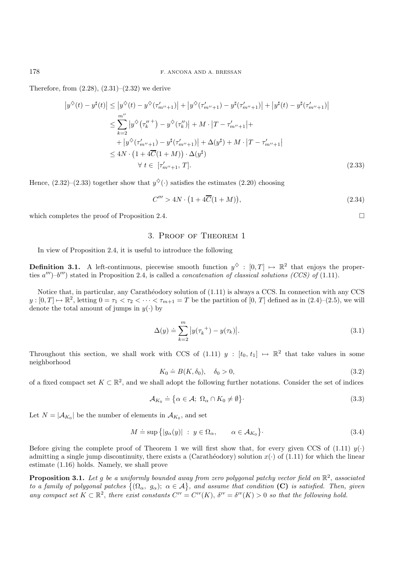Therefore, from  $(2.28)$ ,  $(2.31)$ – $(2.32)$  we derive

$$
\left|y^{\diamond}(t) - y^{\sharp}(t)\right| \leq \left|y^{\diamond}(t) - y^{\diamond}(\tau'_{m''+1})\right| + \left|y^{\diamond}(\tau'_{m''+1}) - y^{\sharp}(\tau'_{m''+1})\right| + \left|y^{\sharp}(t) - y^{\sharp}(\tau'_{m''+1})\right|
$$
  
\n
$$
\leq \sum_{k=2}^{m''} \left|y^{\diamond}(\tau''_k)^{-} - y^{\diamond}(\tau''_k)\right| + M \cdot \left|T - \tau'_{m''+1}\right| +
$$
  
\n
$$
+ \left|y^{\diamond}(\tau'_{m''+1}) - y^{\sharp}(\tau'_{m''+1})\right| + \Delta(y^{\sharp}) + M \cdot \left|T - \tau'_{m''+1}\right|
$$
  
\n
$$
\leq 4N \cdot \left(1 + 4\overline{C}(1 + M)\right) \cdot \Delta(y^{\sharp})
$$
  
\n
$$
\forall t \in [\tau'_{m''+1}, T]. \tag{2.33}
$$

Hence,  $(2.32)$ – $(2.33)$  together show that  $y^{\diamondsuit}(\cdot)$  satisfies the estimates  $(2.20)$  choosing

$$
C''' > 4N \cdot \left(1 + 4\overline{C}(1+M)\right),\tag{2.34}
$$

 $\Box$ 

which completes the proof of Proposition 2.4.

### 3. Proof of Theorem 1

In view of Proposition 2.4, it is useful to introduce the following

**Definition 3.1.** A left-continuous, piecewise smooth function  $y^{\diamond}$  :  $[0, T] \mapsto \mathbb{R}^2$  that enjoys the properties  $a'''$ )– $b'''$ ) stated in Proposition 2.4, is called a *concatenation of classical solutions (CCS) of* (1.11).

Notice that, in particular, any Carathéodory solution of  $(1.11)$  is always a CCS. In connection with any CCS  $y:[0,T] \mapsto \mathbb{R}^2$ , letting  $0=\tau_1 < \tau_2 < \cdots < \tau_{m+1}=T$  be the partition of  $[0,T]$  defined as in  $(2.4)-(2.5)$ , we will denote the total amount of jumps in  $y(.)$  by

$$
\Delta(y) \doteq \sum_{k=2}^{m} |y(\tau_k^+) - y(\tau_k)|. \tag{3.1}
$$

Throughout this section, we shall work with CCS of (1.11)  $y : [t_0, t_1] \mapsto \mathbb{R}^2$  that take values in some neighborhood

$$
K_0 \doteq B(K, \delta_0), \quad \delta_0 > 0,\tag{3.2}
$$

of a fixed compact set  $K \subset \mathbb{R}^2$ , and we shall adopt the following further notations. Consider the set of indices

$$
\mathcal{A}_{K_0} \doteq \{ \alpha \in \mathcal{A}; \ \Omega_{\alpha} \cap K_0 \neq \emptyset \}.
$$
\n(3.3)

Let  $N = |\mathcal{A}_{K_0}|$  be the number of elements in  $\mathcal{A}_{K_0}$ , and set

$$
M \doteq \sup \{|g_{\alpha}(y)| \; : \; y \in \Omega_{\alpha}, \qquad \alpha \in \mathcal{A}_{K_0}\}.
$$
 (3.4)

Before giving the complete proof of Theorem 1 we will first show that, for every given CCS of (1.11)  $y(\cdot)$ admitting a single jump discontinuity, there exists a (Carathéodory) solution  $x(\cdot)$  of (1.11) for which the linear estimate (1.16) holds. Namely, we shall prove

**Proposition 3.1.** *Let* g *be a uniformly bounded away from zero polygonal patchy vector field on*  $\mathbb{R}^2$ , *associated to a family of polygonal patches*  $\{(\Omega_{\alpha}, g_{\alpha})\}\ \alpha \in \mathcal{A}\}$ , and assume that condition **(C)** is satisfied. Then, given *any compact set*  $K \subset \mathbb{R}^2$ , *there exist constants*  $C^{\text{IV}} = C^{\text{IV}}(K)$ ,  $\delta^{\text{IV}} = \delta^{\text{IV}}(K) > 0$  *so that the following hold.*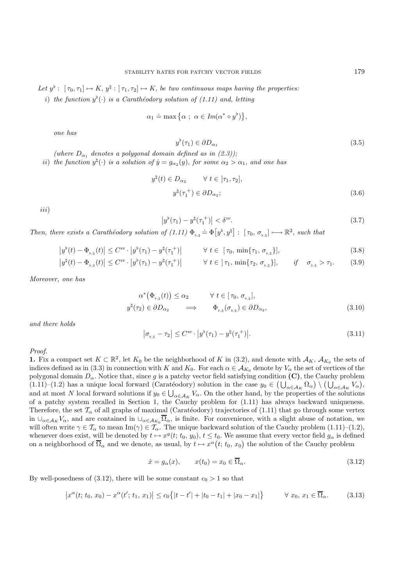Let  $y^{\flat}$ :  $[\tau_0, \tau_1] \mapsto K$ ,  $y^{\natural}$ :  $[\tau_1, \tau_2] \mapsto K$ , *be two continuous maps having the properties:* 

i) *the function*  $y^{\flat}(\cdot)$  *is a Carathéodory solution of (1.11) and, letting* 

$$
\alpha_1 \doteq \max\big\{\alpha \ ; \ \alpha \in Im(\alpha^* \circ y^\flat)\big\},\
$$

*one has*

$$
y^{\flat}(\tau_1) \in \partial D_{\alpha_1} \tag{3.5}
$$

(where  $D_{\alpha_1}$  denotes a polygonal domain defined as in (2.3));

*ii*) *the function*  $y^{\natural}(\cdot)$  *is a solution of*  $\dot{y} = g_{\alpha_2}(y)$ , *for some*  $\alpha_2 > \alpha_1$ *, and one has* 

$$
y^{\sharp}(t) \in D_{\alpha_2} \qquad \forall \ t \in [\tau_1, \tau_2],
$$
  

$$
y^{\sharp}(\tau_1^+) \in \partial D_{\alpha_2};
$$
 (3.6)

iii)

$$
\left|y^{\flat}(\tau_1) - y^{\natural}(\tau_1^{+})\right| < \delta^{iv}.\tag{3.7}
$$

Then, there exists a Carathéodory solution of  $(1.11) \Phi_{\nu, \nmid} \doteq \Phi[y^{\nu}, y^{\mu}] : [\tau_0, \sigma_{\nu, \nmid}] \longrightarrow \mathbb{R}^2$ , such that

$$
\left|y^{\flat}(t) - \Phi_{\flat, \natural}(t)\right| \leq C^{iv} \cdot \left|y^{\flat}(\tau_1) - y^{\sharp}(\tau_1^+) \right| \qquad \forall \ t \in [\tau_0, \min\{\tau_1, \sigma_{\flat, \natural}\}], \tag{3.8}
$$

$$
\left|y^{\natural}(t) - \Phi_{\flat,\natural}(t)\right| \leq C^{iv} \cdot \left|y^{\flat}(\tau_1) - y^{\natural}(\tau_1^+)\right| \qquad \forall \ t \in \,]\,\tau_1, \, \min\{\tau_2, \,\sigma_{\flat,\natural}\}, \qquad \text{if} \quad \sigma_{\flat,\natural} > \tau_1. \tag{3.9}
$$

*Moreover, one has*

$$
\alpha^*(\Phi_{\flat,\natural}(t)) \le \alpha_2 \qquad \forall \ t \in [\tau_0, \sigma_{\flat,\natural}],
$$
  

$$
y^{\natural}(\tau_2) \in \partial D_{\alpha_2} \qquad \Longrightarrow \qquad \Phi_{\flat,\natural}(\sigma_{\flat,\natural}) \in \partial D_{\alpha_2}, \qquad (3.10)
$$

*and there holds*

$$
|\sigma_{\flat,\natural} - \tau_2| \le C^{iv} \cdot |y^{\flat}(\tau_1) - y^{\sharp}(\tau_1^+)|. \tag{3.11}
$$

*Proof.*

**1.** Fix a compact set  $K \subset \mathbb{R}^2$ , let  $K_0$  be the neighborhood of K in (3.2), and denote with  $\mathcal{A}_K$ ,  $\mathcal{A}_{K_0}$  the sets of indices defined as in (3.3) in connection with K and  $K_0$ . For each  $\alpha \in \mathcal{A}_{K_0}$  denote by  $V_\alpha$  the set of vertices of the polygonal domain  $D_{\alpha}$ . Notice that, since g is a patchy vector field satisfying condition **(C)**, the Cauchy problem (1.11)–(1.2) has a unique local forward (Caratéodory) solution in the case  $y_0 \in (\bigcup_{\alpha \in A_K} \Omega_\alpha) \setminus (\bigcup_{\alpha \in A_K} V_\alpha)$ ,<br>and at most N local forward solutions if  $y_0 \in \Pi$  V. On the other hand, by the properties of the solut and at most N local forward solutions if  $y_0 \in \bigcup_{\alpha \in A_K} V_\alpha$ . On the other hand, by the properties of the solutions of a patchy system recalled in Section 1, the Cauchy problem for (1.11) has always backward uniqueness of a patchy system recalled in Section 1, the Cauchy problem for (1.11) has always backward uniqueness. Therefore, the set  $T_{\alpha}$  of all graphs of maximal (Caratéodory) trajectories of (1.11) that go through some vertex in  $\cup_{\alpha\in\mathcal{A}_K}V_\alpha$ , and are contained in  $\cup_{\alpha\in\mathcal{A}_{K_0}}\overline{\Omega}_\alpha$ , is finite. For convenience, with a slight abuse of notation, we will often write  $\gamma \in \mathcal{T}_{\alpha}$  to mean Im( $\gamma$ )  $\in \mathcal{T}_{\alpha}$ . The unique backward solution of the Cauchy problem (1.11)–(1.2), whenever does exist, will be denoted by  $t \mapsto x^g(t; t_0, y_0), t \leq t_0$ . We assume that every vector field  $g_\alpha$  is defined on a neighborhood of  $\overline{\Omega}_{\alpha}$  and we denote, as usual, by  $t \mapsto x^{\alpha}(t; t_0, x_0)$  the solution of the Cauchy problem

$$
\dot{x} = g_{\alpha}(x), \qquad x(t_0) = x_0 \in \overline{\Omega}_{\alpha}.
$$
\n(3.12)

By well-posedness of (3.12), there will be some constant  $c_0 > 1$  so that

$$
\left|x^{\alpha}(t; t_0, x_0) - x^{\alpha}(t'; t_1, x_1)\right| \le c_0 \left\{|t - t'| + |t_0 - t_1| + |x_0 - x_1|\right\} \qquad \forall x_0, x_1 \in \overline{\Omega}_{\alpha}.
$$
 (3.13)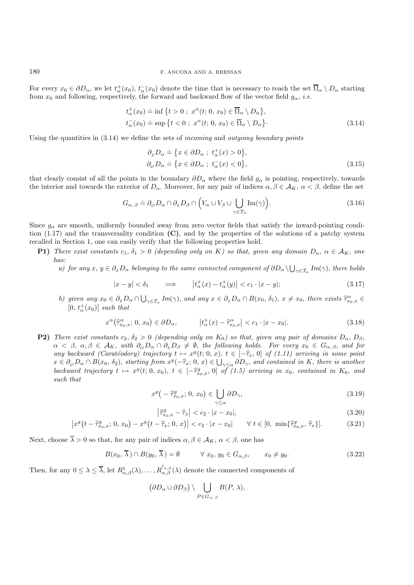For every  $x_0 \in \partial D_\alpha$ , we let  $t^+_{\alpha}(x_0)$ ,  $t^-_{\alpha}(x_0)$  denote the time that is necessary to reach the set  $\overline{\Omega}_{\alpha} \setminus D_\alpha$  starting<br>from  $x_0$  and following respectively the forward and becaused flow of the vector fi from  $x_0$  and following, respectively, the forward and backward flow of the vector field  $g_\alpha$ , *i.e.* 

$$
t_{\alpha}^{+}(x_{0}) \doteq \inf \{ t > 0 \; ; \; x^{\alpha}(t; 0, x_{0}) \in \overline{\Omega}_{\alpha} \setminus D_{\alpha} \},
$$
  

$$
t_{\alpha}^{-}(x_{0}) \doteq \sup \{ t < 0 \; ; \; x^{\alpha}(t; 0, x_{0}) \in \overline{\Omega}_{\alpha} \setminus D_{\alpha} \}.
$$
 (3.14)

Using the quantities in (3.14) we define the sets of *incoming* and *outgoing boundary points*

$$
\partial_x D_\alpha \doteq \{ x \in \partial D_\alpha \; ; \; t_\alpha^+(x) > 0 \},\
$$
\n
$$
\partial_\phi D_\alpha \doteq \{ x \in \partial D_\alpha \; ; \; t_\alpha^-(x) < 0 \},\
$$
\n
$$
(3.15)
$$

that clearly consist of all the points in the boundary  $\partial D_{\alpha}$  where the field  $g_{\alpha}$  is pointing, respectively, towards the interior and towards the exterior of  $D_{\alpha}$ . Moreover, for any pair of indices  $\alpha, \beta \in A_K$ ,  $\alpha < \beta$ , define the set

$$
G_{\alpha,\beta} \doteq \partial_{\varphi} D_{\alpha} \cap \partial_{\tau} D_{\beta} \cap \left( V_{\alpha} \cup V_{\beta} \cup \bigcup_{\gamma \in \mathcal{T}_{\beta}} \text{Im}(\gamma) \right). \tag{3.16}
$$

Since  $g_{\alpha}$  are smooth, uniformly bounded away from zero vector fields that satisfy the inward-pointing condition (1.17) and the transversality condition **(C)**, and by the properties of the solutions of a patchy system recalled in Section 1, one can easily verify that the following properties hold.

- **P1)** *There exist constants*  $c_1$ ,  $\delta_1 > 0$  *(depending only on* K*)* so that, given any domain  $D_\alpha$ ,  $\alpha \in A_K$ , one *has:*
	- *a)* for any  $x, y \in \partial_x D_\alpha$  belonging to the same connected component of  $\partial D_\alpha \setminus \bigcup_{\gamma \in \mathcal{T}_\alpha} Im(\gamma)$ , there holds

$$
|x - y| < \delta_1 \qquad \Longrightarrow \qquad \left| t_\alpha^+(x) - t_\alpha^+(y) \right| < c_1 \cdot |x - y|; \tag{3.17}
$$

*b)* given any  $x_0 \in \partial_{\tau} D_{\alpha} \cap \bigcup_{\gamma \in \mathcal{T}_{\alpha}} Im(\gamma)$ , and any  $x \in \partial_{\tau} D_{\alpha} \cap B(x_0, \delta_1)$ ,  $x \neq x_0$ , there exists  $\widehat{\tau}_{x_0,x}^{\alpha} \in$  $[0, t^+_{\alpha}(x_0)]$  *such that* 

$$
x^{\alpha}(\widehat{\tau}_{x_0,x}^{\alpha}; 0, x_0) \in \partial D_{\alpha}, \qquad |t_{\alpha}^{+}(x) - \widehat{\tau}_{x_0,x}^{\alpha}| < c_1 \cdot |x - x_0|.
$$
 (3.18)

**P2)** *There exist constants*  $c_2$ ,  $\delta_2 > 0$  *(depending only on*  $K_0$ *) so that, given any pair of domains*  $D_\alpha$ ,  $D_\beta$ ,  $\alpha < \beta, \, \alpha, \beta \in A_K$ , with  $\partial_{\varphi}D_{\alpha} \cap \partial_{\varphi}D_{\beta} \neq \emptyset$ , the following holds. For every  $x_0 \in G_{\alpha,\beta}$ , and for *any backward (Caratéodory) trajectory*  $t \mapsto x^g(t; 0, x)$ ,  $t \in [-\hat{\tau}_x, 0]$  *of (1.11) arriving in some point*  $x \in \partial D \cap B(x_0, \delta_0)$  starting from  $x^g(-\hat{\tau} \cdot 0, x) \in \Box$  and contained in K, there is another  $x \in \partial_{\mathcal{O}} D_{\alpha} \cap B(x_0, \delta_2)$ , *starting from*  $x^g(-\hat{\tau}_x; 0, x) \in \bigcup_{\gamma \leq \alpha} \partial D_{\gamma}$ , and contained in K, there is another *backward trajectory*  $t \mapsto x^g(t; 0, x_0), t \in [-\hat{\tau}_{x_0,x}^g, 0]$  *of (1.5) arriving in*  $x_0$ , *contained in*  $K_0$ , *and* such that *such that*

$$
x^g\left(-\hat{\tau}_{x_0,x}^g; 0, x_0\right) \in \bigcup_{\gamma \le \alpha} \partial D_{\gamma},\tag{3.19}
$$

$$
\left|\hat{\tau}_{x_0,x}^g - \hat{\tau}_x\right| < c_2 \cdot |x - x_0|,\tag{3.20}
$$

$$
\left| x^{g}\left(t - \hat{\tau}_{x_{0},x}^{g}; 0, x_{0}\right) - x^{g}\left(t - \hat{\tau}_{x}; 0, x\right) \right| < c_{2} \cdot \left| x - x_{0} \right| \quad \forall \ t \in [0, \ \min\{\hat{\tau}_{x_{0},x}^{g}, \hat{\tau}_{x}\}]. \tag{3.21}
$$

Next, choose  $\overline{\lambda} > 0$  so that, for any pair of indices  $\alpha, \beta \in \mathcal{A}_K$ ,  $\alpha < \beta$ , one has

$$
B(x_0, \overline{\lambda}) \cap B(y_0, \overline{\lambda}) = \emptyset \qquad \forall x_0, y_0 \in G_{\alpha, \beta}, \qquad x_0 \neq y_0.
$$
 (3.22)

Then, for any  $0 \leq \lambda \leq \overline{\lambda}$ , let  $R^1_{\alpha,\beta}(\lambda), \ldots, R'^{\alpha,\beta}_{\alpha,\beta}(\lambda)$  denote the connected components of

$$
(\partial D_{\alpha} \cup \partial D_{\beta}) \setminus \bigcup_{P \in G_{\alpha,\beta}} B(P, \lambda),
$$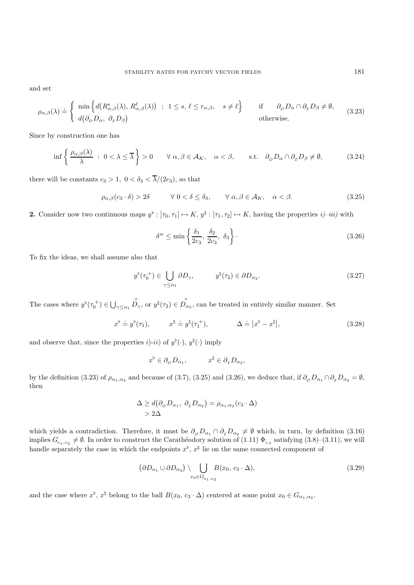and set

$$
\rho_{\alpha,\beta}(\lambda) \doteq \begin{cases} \min \Big\{ d\big(R^s_{\alpha,\beta}(\lambda), R^\ell_{\alpha,\beta}(\lambda)\big) \; ; \; 1 \le s, \, \ell \le r_{\alpha,\beta}, \quad s \neq \ell \Big\} & \text{if} \quad \partial_{\varphi} D_{\alpha} \cap \partial_{\tau} D_{\beta} \neq \emptyset, \\ d\big(\partial_{\varphi} D_{\alpha}, \, \partial_{\tau} D_{\beta}\big) & \text{otherwise.} \end{cases} \tag{3.23}
$$

Since by construction one has

$$
\inf \left\{ \frac{\rho_{\alpha,\beta}(\lambda)}{\lambda} \; : \; 0 < \lambda \leq \overline{\lambda} \right\} > 0 \qquad \forall \; \alpha, \beta \in \mathcal{A}_K, \quad \alpha < \beta, \qquad \text{s.t.} \quad \partial_{\phi} D_{\alpha} \cap \partial_{\tau} D_{\beta} \neq \emptyset, \tag{3.24}
$$

there will be constants  $c_3 > 1$ ,  $0 < \delta_3 < \overline{\lambda}/(2c_3)$ , so that

$$
\rho_{\alpha,\beta}(c_3 \cdot \delta) > 2\delta \qquad \forall \ 0 < \delta \le \delta_3, \qquad \forall \ \alpha,\beta \in \mathcal{A}_K, \quad \alpha < \beta. \tag{3.25}
$$

**2.** Consider now two continuous maps  $y^{\flat} : [\tau_0, \tau_1] \mapsto K$ ,  $y^{\sharp} : [\tau_1, \tau_2] \mapsto K$ , having the properties  $i$ )–*iii*) with

$$
\delta^{IV} \le \min\left\{\frac{\delta_1}{2c_3}, \frac{\delta_2}{2c_3}, \delta_3\right\}.
$$
\n(3.26)

To fix the ideas, we shall assume also that

$$
y^{\flat}(\tau_0^+) \in \bigcup_{\gamma \le \alpha_1} \partial D_{\gamma}, \qquad y^{\sharp}(\tau_2) \in \partial D_{\alpha_2}.
$$
 (3.27)

The cases where  $y^{\flat}(\tau_0^+) \in \bigcup_{\gamma \leq \alpha_1}$  $D_{\gamma}$ , or  $y^{\natural}(\tau_2) \in D_{\alpha_2}$ , can be treated in entirely similar manner. Set

$$
x^{\flat} \doteq y^{\flat}(\tau_1), \qquad x^{\sharp} \doteq y^{\sharp}(\tau_1^+), \qquad \Delta \doteq |x^{\flat} - x^{\sharp}|, \qquad (3.28)
$$

and observe that, since the properties  $i$ )- $ii$ ) of  $y^{\flat}(\cdot)$ ,  $y^{\sharp}(\cdot)$  imply

$$
x^{\flat} \in \partial_{\phi} D_{\alpha_1}, \qquad x^{\natural} \in \partial_{\tau} D_{\alpha_2},
$$

by the definition (3.23) of  $\rho_{\alpha_1,\alpha_2}$  and because of (3.7), (3.25) and (3.26), we deduce that, if  $\partial_{\sigma}D_{\alpha_1} \cap \partial_{\tau}D_{\alpha_2} = \emptyset$ , then

$$
\Delta \ge d(\partial_{\varphi} D_{\alpha_1}, \ \partial_{\tau} D_{\alpha_2}) = \rho_{\alpha_1, \alpha_2}(c_3 \cdot \Delta)
$$
  
> 2\Delta

which yields a contradiction. Therefore, it must be  $\partial_{\mathcal{O}} D_{\alpha_1} \cap \partial_{\mathcal{I}} D_{\alpha_2} \neq \emptyset$  which, in turn, by definition (3.16)<br>implies  $C = \langle \emptyset, \text{In order to construct the Carathiodour solution of (1.11), } \Phi = \text{criterion} (2.8), (2.11)$  are will implies  $G_{\alpha_1,\alpha_2} \neq \emptyset$ . In order to construct the Carathéodory solution of  $(1.11) \Phi_{\flat,\natural}$  satisfying  $(3.8)$ – $(3.11)$ , we will handle separately the case in which the endpoints  $x^{\flat}$ ,  $x^{\sharp}$  lie on the same connected component of

$$
(\partial D_{\alpha_1} \cup \partial D_{\alpha_2}) \setminus \bigcup_{x_0 \in G_{\alpha_1, \alpha_2}} B(x_0, c_3 \cdot \Delta), \tag{3.29}
$$

and the case where  $x^{\flat}$ ,  $x^{\sharp}$  belong to the ball  $B(x_0, c_3 \cdot \Delta)$  centered at some point  $x_0 \in G_{\alpha_1, \alpha_2}$ .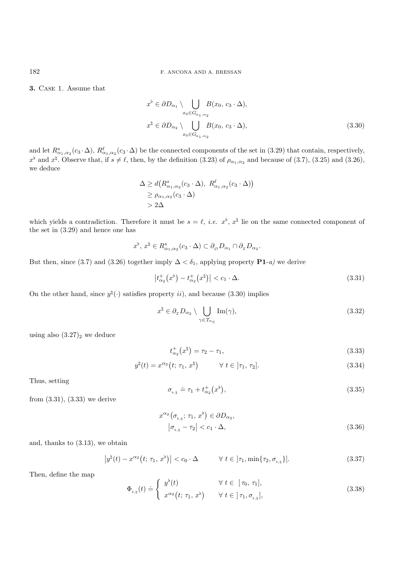**3.** Case 1. Assume that

$$
x^{\flat} \in \partial D_{\alpha_1} \setminus \bigcup_{x_0 \in G_{\alpha_1, \alpha_2}} B(x_0, c_3 \cdot \Delta),
$$
  

$$
x^{\natural} \in \partial D_{\alpha_2} \setminus \bigcup_{x_0 \in G_{\alpha_1, \alpha_2}} B(x_0, c_3 \cdot \Delta),
$$
 (3.30)

and let  $R^s_{\alpha_1,\alpha_2}(c_3\cdot\Delta), R^{\ell}_{\alpha_1,\alpha_2}(c_3\cdot\Delta)$  be the connected components of the set in (3.29) that contain, respectively,  $x^{\flat}$  and  $x^{\sharp}$ . Observe that, if  $s \neq \ell$ , then, by the definition (3.23) of  $\rho_{\alpha_1,\alpha_2}$  and because of (3.7), (3.25) and (3.26), we deduce

$$
\Delta \ge d(R^s_{\alpha_1,\alpha_2}(c_3 \cdot \Delta), R^\ell_{\alpha_1,\alpha_2}(c_3 \cdot \Delta))
$$
  
\n
$$
\ge \rho_{\alpha_1,\alpha_2}(c_3 \cdot \Delta)
$$
  
\n
$$
> 2\Delta
$$

which yields a contradiction. Therefore it must be  $s = \ell$ , *i.e.*  $x^{\flat}$ ,  $x^{\sharp}$  lie on the same connected component of the set in (3.29) and hence one has

$$
x^{\flat}, x^{\sharp} \in R^s_{\alpha_1, \alpha_2}(c_3 \cdot \Delta) \subset \partial_{\phi} D_{\alpha_1} \cap \partial_{\tau} D_{\alpha_2}.
$$

But then, since (3.7) and (3.26) together imply  $\Delta < \delta_1$ , applying property **P1**-*a*) we derive

$$
\left| t_{\alpha_2}^+(x^{\flat}) - t_{\alpha_2}^+(x^{\sharp}) \right| < c_1 \cdot \Delta. \tag{3.31}
$$

On the other hand, since  $y^{\natural}(\cdot)$  satisfies property *ii*), and because (3.30) implies

$$
x^{\natural} \in \partial_{\tau} D_{\alpha_2} \setminus \bigcup_{\gamma \in \mathcal{T}_{\alpha_{\in}}} \text{Im}(\gamma), \tag{3.32}
$$

using also  $(3.27)_2$  we deduce

$$
t_{\alpha_2}^+(x^\natural) = \tau_2 - \tau_1,\tag{3.33}
$$

$$
y^{\natural}(t) = x^{\alpha_2}(t; \tau_1, x^{\natural}) \qquad \forall \ t \in [\tau_1, \tau_2]. \qquad (3.34)
$$

Thus, setting

$$
\sigma_{\nu,\mathfrak{h}} \doteq \tau_1 + t_{\alpha_2}^+(x^\flat),\tag{3.35}
$$

from (3.31), (3.33) we derive

$$
x^{\alpha_2} \left( \sigma_{\flat,\natural}; \tau_1, x^{\flat} \right) \in \partial D_{\alpha_2},
$$
  

$$
\left| \sigma_{\flat,\natural} - \tau_2 \right| < c_1 \cdot \Delta,
$$
 (3.36)

and, thanks to (3.13), we obtain

$$
\left|y^{\natural}(t) - x^{\alpha_2}(t; \tau_1, x^{\flat})\right| < c_0 \cdot \Delta \qquad \forall \ t \in \left]\tau_1, \min\{\tau_2, \sigma_{\flat, \natural}\}\right].\tag{3.37}
$$

Then, define the map

$$
\Phi_{\flat,\natural}(t) \doteq \begin{cases} y^{\flat}(t) & \forall \ t \in [\tau_0, \tau_1], \\ x^{\alpha_2}(t; \tau_1, x^{\flat}) & \forall \ t \in [\tau_1, \sigma_{\flat,\natural}], \end{cases}
$$
\n(3.38)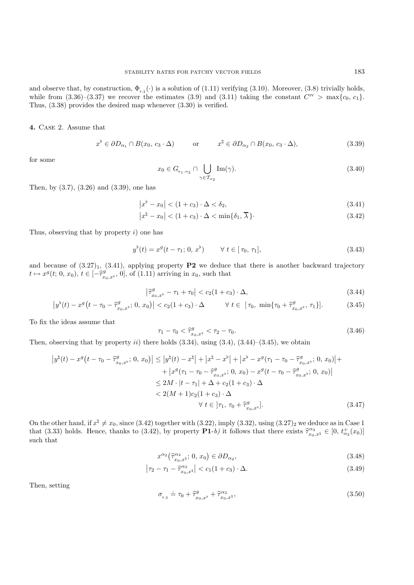and observe that, by construction,  $\Phi_{\flat,\natural}(\cdot)$  is a solution of (1.11) verifying (3.10). Moreover, (3.8) trivially holds, while from (3.36)–(3.37) we recover the estimates (3.9) and (3.11) taking the constant  $C<sup>iv</sup> > max{c_0, c_1}$ . Thus, (3.38) provides the desired map whenever (3.30) is verified.

**4.** Case 2. Assume that

$$
x^{\flat} \in \partial D_{\alpha_1} \cap B(x_0, c_3 \cdot \Delta) \qquad \text{or} \qquad x^{\sharp} \in \partial D_{\alpha_2} \cap B(x_0, c_3 \cdot \Delta), \tag{3.39}
$$

for some

$$
x_0 \in G_{\alpha_1, \alpha_2} \cap \bigcup_{\gamma \in \mathcal{T}_{\alpha_2}} \text{Im}(\gamma). \tag{3.40}
$$

Then, by (3.7), (3.26) and (3.39), one has

$$
|x^{b} - x_{0}| < (1 + c_{3}) \cdot \Delta < \delta_{2}, \tag{3.41}
$$

$$
\left|x^{\natural}-x_0\right| < (1+c_3) \cdot \Delta < \min\{\delta_1, \overline{\lambda}\}.\tag{3.42}
$$

Thus, observing that by property  $i$ ) one has

$$
y^{\flat}(t) = x^{g}(t - \tau_{1}; 0, x^{\flat}) \qquad \forall \ t \in [\tau_{0}, \tau_{1}], \qquad (3.43)
$$

and because of  $(3.27)_1$ ,  $(3.41)$ , applying property **P2** we deduce that there is another backward trajectory  $t \mapsto x^g(t; 0, x_0), t \in [-\hat{\tau}_{x_0, x^{\flat}}^g, 0],$  of (1.11) arriving in  $x_0$ , such that

$$
\left|\hat{\tau}_{x_0,x^{\flat}}^g - \tau_1 + \tau_0\right| < c_2(1+c_3) \cdot \Delta,\tag{3.44}
$$

$$
\left|y^{\flat}(t) - x^{g}\left(t - \tau_{0} - \hat{\tau}_{x_{0},x^{\flat}}^{g}; 0, x_{0}\right)\right| < c_{2}(1 + c_{3}) \cdot \Delta \qquad \forall \ t \in [\tau_{0}, \ \min\{\tau_{0} + \hat{\tau}_{x_{0},x^{\flat}}^{g}, \tau_{1}\}].\tag{3.45}
$$

To fix the ideas assume that

$$
\tau_1 - \tau_0 < \hat{\tau}_{x_0, x^{\flat}}^g < \tau_2 - \tau_0. \tag{3.46}
$$

Then, observing that by property *ii*) there holds  $(3.34)$ , using  $(3.4)$ ,  $(3.44)$ – $(3.45)$ , we obtain

$$
\left| y^{\natural}(t) - x^{g}(t - \tau_{0} - \hat{\tau}_{x_{0},x^{b}}^{g}; 0, x_{0}) \right| \leq \left| y^{\natural}(t) - x^{\natural} \right| + \left| x^{\natural} - x^{\flat} \right| + \left| x^{b} - x^{g}(\tau_{1} - \tau_{0} - \hat{\tau}_{x_{0},x^{b}}^{g}; 0, x_{0}) \right| +
$$
  
+ 
$$
\left| x^{g}(\tau_{1} - \tau_{0} - \hat{\tau}_{x_{0},x^{b}}^{g}; 0, x_{0}) - x^{g}(t - \tau_{0} - \hat{\tau}_{x_{0},x^{b}}^{g}; 0, x_{0}) \right|
$$
  

$$
\leq 2M \cdot |t - \tau_{1}| + \Delta + c_{2}(1 + c_{3}) \cdot \Delta
$$
  

$$
< 2(M + 1)c_{2}(1 + c_{3}) \cdot \Delta
$$
  

$$
\forall t \in ]\tau_{1}, \tau_{0} + \hat{\tau}_{x_{0},x^{b}}^{g}]. \tag{3.47}
$$

On the other hand, if  $x^{\sharp} \neq x_0$ , since (3.42) together with (3.22), imply (3.32), using (3.27)<sub>2</sub> we deduce as in Case 1 that (3.33) holds. Hence, thanks to (3.42), by property **P1**-*b*) it follows that there exists  $\hat{\tau}_{x_0,x^1}^{\alpha_2} \in [0, t_{\alpha_2}^+(x_0)]$ <br>such that such that

$$
x^{\alpha_2}(\hat{\tau}_{x_0,x^\sharp}^{\alpha_2};0,x_0) \in \partial D_{\alpha_2},\tag{3.48}
$$

$$
\left|\tau_2 - \tau_1 - \hat{\tau}_{x_0, x^{\sharp}}^{\alpha_2}\right| < c_1(1 + c_3) \cdot \Delta. \tag{3.49}
$$

Then, setting

$$
\sigma_{\flat,\natural} \doteq \tau_0 + \hat{\tau}^g_{x_0,x^\flat} + \hat{\tau}^{\alpha_2}_{x_0,x^\natural},\tag{3.50}
$$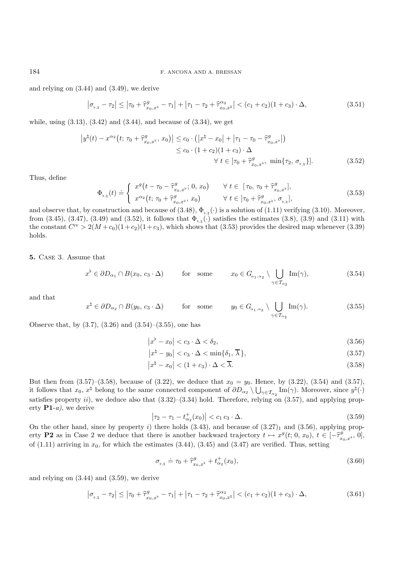and relying on (3.44) and (3.49), we derive

$$
\left|\sigma_{\mathbf{b},\mathbf{b}} - \tau_2\right| \le \left|\tau_0 + \hat{\tau}_{x_0,x^{\mathbf{b}}}^g - \tau_1\right| + \left|\tau_1 - \tau_2 + \hat{\tau}_{x_0,x^{\mathbf{b}}}^{a_2}\right| < (c_1 + c_2)(1 + c_3) \cdot \Delta,\tag{3.51}
$$

while, using  $(3.13)$ ,  $(3.42)$  and  $(3.44)$ , and because of  $(3.34)$ , we get

$$
\left| y^{\natural}(t) - x^{\alpha_2}(t; \tau_0 + \hat{\tau}_{x_0, x^{\flat}}^g, x_0) \right| \le c_0 \cdot \left( \left| x^{\natural} - x_0 \right| + \left| \tau_1 - \tau_0 - \hat{\tau}_{x_0, x^{\flat}}^g \right| \right) \le c_0 \cdot (1 + c_2)(1 + c_3) \cdot \Delta \qquad \forall \ t \in \left] \tau_0 + \hat{\tau}_{x_0, x^{\flat}}^g, \min \{ \tau_2, \sigma_{\flat, \natural} \} \right]. \tag{3.52}
$$

Thus, define

$$
\Phi_{\flat,\natural}(t) \doteq \begin{cases}\nx^g(t - \tau_0 - \hat{\tau}_{x_0,x^{\flat}}^g; 0, x_0) & \forall \ t \in [\tau_0, \tau_0 + \hat{\tau}_{x_0,x^{\flat}}^g], \\
x^{\alpha_2}(t; \tau_0 + \hat{\tau}_{x_0,x^{\flat}}^g, x_0) & \forall \ t \in [\tau_0 + \hat{\tau}_{x_0,x^{\flat}}^g, \sigma_{\flat,\natural}],\n\end{cases} (3.53)
$$

and observe that, by construction and because of  $(3.48)$ ,  $\Phi_{\flat,\natural}(\cdot)$  is a solution of  $(1.11)$  verifying  $(3.10)$ . Moreover, from (3.45), (3.47), (3.49) and (3.52), it follows that  $\Phi_{\flat,\natural}(\cdot)$  satisfies the estimates (3.8), (3.9) and (3.11) with the constant  $C^{\text{IV}} > 2(M + c_0)(1 + c_2)(1 + c_3)$ , which shows that (3.53) provides the desired map whenever (3.39) holds.

**5.** Case 3. Assume that

$$
x^{\flat} \in \partial D_{\alpha_1} \cap B(x_0, c_3 \cdot \Delta) \qquad \text{for some} \qquad x_0 \in G_{\alpha_1, \alpha_2} \setminus \bigcup_{\gamma \in \mathcal{T}_{\alpha_2}} \text{Im}(\gamma), \tag{3.54}
$$

and that

$$
x^{\natural} \in \partial D_{\alpha_2} \cap B(y_0, c_3 \cdot \Delta) \qquad \text{for some} \qquad y_0 \in G_{\alpha_1, \alpha_2} \setminus \bigcup_{\gamma \in \mathcal{T}_{\alpha_2}} \text{Im}(\gamma). \tag{3.55}
$$

Observe that, by  $(3.7)$ ,  $(3.26)$  and  $(3.54)$ – $(3.55)$ , one has

$$
\left|x^{\flat} - x_0\right| < c_3 \cdot \Delta < \delta_2,\tag{3.56}
$$

$$
\left|x^{\natural} - y_0\right| < c_3 \cdot \Delta < \min\{\delta_1, \overline{\lambda}\},\tag{3.57}
$$

$$
\left|x^{\natural} - x_0\right| < (1 + c_3) \cdot \Delta < \overline{\lambda}.\tag{3.58}
$$

But then from  $(3.57)$ – $(3.58)$ , because of  $(3.22)$ , we deduce that  $x_0 = y_0$ . Hence, by  $(3.22)$ ,  $(3.54)$  and  $(3.57)$ , it follows that  $x_0, x^{\sharp}$  belong to the same connected component of  $\partial D_{\alpha_2} \setminus \bigcup_{\gamma \in \mathcal{T}_{\alpha_2}} \text{Im}(\gamma)$ . Moreover, since  $y^{\sharp}(\cdot)$ satisfies property ii), we deduce also that  $(3.32)$ – $(3.34)$  hold. Therefore, relying on  $(3.57)$ , and applying property **P1**-*a)*, we derive

$$
\left|\tau_{2} - \tau_{1} - t_{\alpha_{2}}^{+}(x_{0})\right| < c_{1} c_{3} \cdot \Delta. \tag{3.59}
$$

On the other hand, since by property i) there holds  $(3.43)$ , and because of  $(3.27)_1$  and  $(3.56)$ , applying property **P2** as in Case 2 we deduce that there is another backward trajectory  $t \mapsto x^g(t; 0, x_0), t \in [-\hat{\tau}_{x_0,x^b}^g, 0],$ <br>of (1.11) origing in  $x_0$ , for which the estimates (2.44), (2.45) and (3.47) are verified. Thus, setting of  $(1.11)$  arriving in  $x_0$ , for which the estimates  $(3.44)$ ,  $(3.45)$  and  $(3.47)$  are verified. Thus, setting

$$
\sigma_{\phi, \phi} \doteq \tau_0 + \hat{\tau}_{x_0, x^{\flat}}^g + t_{\alpha_2}^+(x_0), \tag{3.60}
$$

and relying on (3.44) and (3.59), we derive

$$
\left|\sigma_{\flat,\natural} - \tau_2\right| \le \left|\tau_0 + \hat{\tau}_{x_0,x}^g - \tau_1\right| + \left|\tau_1 - \tau_2 + \hat{\tau}_{x_0,x}^{\alpha_2}\right| < (c_1 + c_2)(1 + c_3) \cdot \Delta,\tag{3.61}
$$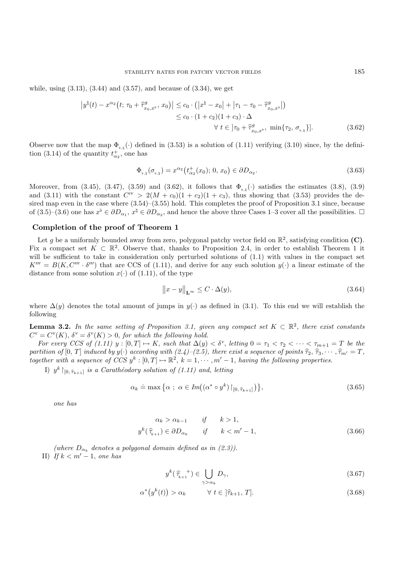while, using  $(3.13)$ ,  $(3.44)$  and  $(3.57)$ , and because of  $(3.34)$ , we get

$$
\left| y^{\natural}(t) - x^{\alpha_2}(t; \tau_0 + \hat{\tau}_{x_0, x^{\flat}}^g, x_0) \right| \le c_0 \cdot \left( \left| x^{\natural} - x_0 \right| + \left| \tau_1 - \tau_0 - \hat{\tau}_{x_0, x^{\flat}}^g \right| \right) \le c_0 \cdot (1 + c_2)(1 + c_3) \cdot \Delta \qquad \forall \ t \in \left] \tau_0 + \hat{\tau}_{x_0, x^{\flat}}^g, \min \{ \tau_2, \sigma_{\flat, \natural} \} \right]. \tag{3.62}
$$

Observe now that the map  $\Phi_{\flat,\flat}(\cdot)$  defined in (3.53) is a solution of (1.11) verifying (3.10) since, by the definition (3.14) of the quantity  $t_{\alpha_2}^+$ , one has

$$
\Phi_{\flat,\natural}(\sigma_{\flat,\natural}) = x^{\alpha_2} \left( t_{\alpha_2}^+(x_0); 0, x_0 \right) \in \partial D_{\alpha_2}.
$$
\n(3.63)

Moreover, from (3.45), (3.47), (3.59) and (3.62), it follows that  $\Phi_{\flat,\sharp}(\cdot)$  satisfies the estimates (3.8), (3.9) and (3.11) with the constant  $C^{iv} > 2(M + c_0)(1 + c_2)(1 + c_3)$ , thus showing that (3.53) provides the desired map even in the case where  $(3.54)$ – $(3.55)$  hold. This completes the proof of Proposition 3.1 since, because of  $(3.5)-(3.6)$  one has  $x^{\flat} \in \partial D_{\alpha_1}, x^{\sharp} \in \partial D_{\alpha_2}$ , and hence the above three Cases 1–3 cover all the possibilities.  $\Box$ 

## **Completion of the proof of Theorem 1**

Let q be a uniformly bounded away from zero, polygonal patchy vector field on  $\mathbb{R}^2$ , satisfying condition **(C)**. Fix a compact set  $K \subset \mathbb{R}^2$ . Observe that, thanks to Proposition 2.4, in order to establish Theorem 1 it will be sufficient to take in consideration only perturbed solutions of  $(1.1)$  with values in the compact set  $K^{\prime\prime\prime} = B(K, C^{\prime\prime\prime} \cdot \delta^{\prime\prime\prime})$  that are CCS of (1.11), and derive for any such solution  $y(\cdot)$  a linear estimate of the distance from some solution  $x(\cdot)$  of (1.11), of the type

$$
\|x - y\|_{\mathbf{L}^{\infty}} \le C \cdot \Delta(y),\tag{3.64}
$$

where  $\Delta(y)$  denotes the total amount of jumps in  $y(\cdot)$  as defined in (3.1). To this end we will establish the following

**Lemma 3.2.** In the same setting of Proposition 3.1, given any compact set  $K \subset \mathbb{R}^2$ , there exist constants  $C^{\text{v}} = C^{\text{v}}(K)$ ,  $\delta^{\text{v}} = \delta^{\text{v}}(K) > 0$ , for which the following hold.

*For every CCS of (1.11)*  $y : [0, T] \mapsto K$ , *such that*  $\Delta(y) < \delta^v$ , *letting*  $0 = \tau_1 < \tau_2 < \cdots < \tau_{m+1} = T$  *be the partition of*  $[0, T]$  *induced by*  $y(\cdot)$  *according with*  $(2.4)$ – $(2.5)$ *, there exist a sequence of points*  $\hat{\tau}_2, \hat{\tau}_3, \cdots, \hat{\tau}_{m'} = T$ *, together with a sequence of CCS*  $y^k : [0, T] \rightarrow \mathbb{R}^2$ ,  $k = 1, \dots, m' - 1$ , *having the following properties.* 

I)  $y^k$   $\upharpoonright_{[0, \hat{\tau}_{k+1}]}$  *is a Carathéodory solution of (1.11) and, letting* 

$$
\alpha_k \doteq \max\left\{\alpha \; ; \; \alpha \in Im((\alpha^* \circ y^k) \upharpoonright_{[0, \hat{\tau}_{k+1}]})\right\},\tag{3.65}
$$

*one has*

$$
\alpha_k > \alpha_{k-1} \qquad \text{if} \qquad k > 1,
$$
  

$$
y^k(\hat{\tau}_{k+1}) \in \partial D_{\alpha_k} \qquad \text{if} \qquad k < m' - 1,
$$
 (3.66)

(where  $D_{\alpha_k}$  denotes a polygonal domain defined as in (2.3)). II) *If*  $k < m' - 1$ , *one has* 

$$
y^{k}(\widehat{\tau}_{k+1}^{-+}) \in \bigcup_{\gamma > \alpha_{k}} D_{\gamma}, \tag{3.67}
$$

$$
\alpha^*(y^k(t)) > \alpha_k \qquad \forall \ t \in ]\hat{\tau}_{k+1}, \ T]. \tag{3.68}
$$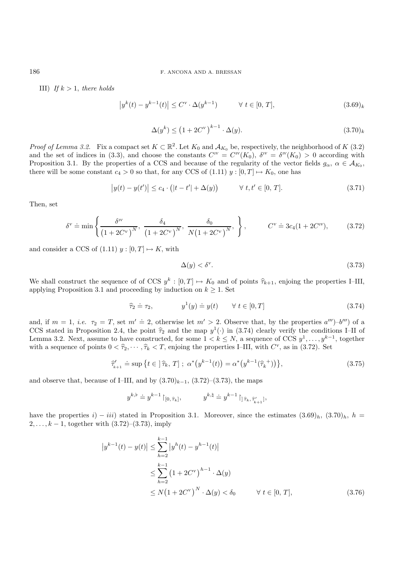### 186 F. ANCONA AND A. BRESSAN

III) *If*  $k > 1$ *, there holds* 

$$
\left| y^{k}(t) - y^{k-1}(t) \right| \leq C^{\mathbf{v}} \cdot \Delta(y^{k-1}) \qquad \forall \ t \in [0, T], \tag{3.69}_{k}
$$

$$
\Delta(y^k) \le \left(1 + 2C^v\right)^{k-1} \cdot \Delta(y). \tag{3.70}_{k}
$$

*Proof of Lemma 3.2.* Fix a compact set  $K \subset \mathbb{R}^2$ . Let  $K_0$  and  $\mathcal{A}_{K_0}$  be, respectively, the neighborhood of K (3.2) and the set of indices in (3.3), and choose the constants  $C^{\scriptscriptstyle IV} = C^{\scriptscriptstyle IV}(K_0)$ ,  $\delta^{\scriptscriptstyle IV} = \delta^{\scriptscriptstyle IV}(K_0) > 0$  according with Proposition 3.1. By the properties of a CCS and because of the regularity of the vector fields  $g_{\alpha}$ ,  $\alpha \in A_{K_0}$ , there will be some constant  $c_4 > 0$  so that, for any CCS of  $(1.11)$   $y : [0, T] \mapsto K_0$ , one has

$$
|y(t) - y(t')| \le c_4 \cdot (|t - t'| + \Delta(y)) \qquad \forall \ t, t' \in [0, T]. \tag{3.71}
$$

Then, set

$$
\delta^{\rm v} \doteq \min \left\{ \frac{\delta^{\rm v}}{\left(1 + 2C^{\rm v}\right)^N}, \frac{\delta_4}{\left(1 + 2C^{\rm v}\right)^N}, \frac{\delta_0}{N\left(1 + 2C^{\rm v}\right)^N}, \right\}, \qquad C^{\rm v} \doteq 3c_4(1 + 2C^{\rm v}), \qquad (3.72)
$$

and consider a CCS of  $(1.11)$   $y: [0, T] \mapsto K$ , with

$$
\Delta(y) < \delta^{\mathbf{v}}.\tag{3.73}
$$

We shall construct the sequence of of CCS  $y^k : [0, T] \mapsto K_0$  and of points  $\hat{\tau}_{k+1}$ , enjoing the properties I–III, applying Proposition 3.1 and proceeding by induction on  $k \geq 1$ . Set

$$
\widehat{\tau}_2 \doteq \tau_2, \qquad y^1(y) \doteq y(t) \qquad \forall \ t \in [0, T] \tag{3.74}
$$

and, if  $m = 1$ , *i.e.*  $\tau_2 = T$ , set  $m' \doteq 2$ , otherwise let  $m' > 2$ . Observe that, by the properties  $a'''$ )–b''') of a CCS stated in Proposition 2.4, the point  $\hat{\tau}_2$  and the map  $y^1(\cdot)$  in (3.74) clearly verify the conditions I–II of Lemma 3.2. Next, assume to have constructed, for some  $1 < k \leq N$ , a sequence of CCS  $y^1, \ldots, y^{k-1}$ , together with a sequence of points  $0 < \hat{\tau}_2, \dots, \hat{\tau}_k < T$ , enjoing the properties I–III, with  $C^v$ , as in (3.72). Set

$$
\widehat{\tau}'_{k+1} \doteq \sup \{ t \in ]\widehat{\tau}_k, T] ; \ \alpha^* \big( y^{k-1}(t) \big) = \alpha^* \big( y^{k-1}(\widehat{\tau}_k^+ ) \big) \}, \tag{3.75}
$$

and observe that, because of I–III, and by  $(3.70)_{k-1}$ ,  $(3.72)$ – $(3.73)$ , the maps

$$
y^{k,\flat} \doteq y^{k-1}\!\upharpoonright_{[0,\,\widehat{\tau}_k]}, \qquad \qquad y^{k,\natural} \doteq y^{k-1}\!\upharpoonright_{]\widehat{\tau}_k,\,\widehat{\tau}'_{k+1}|},
$$

have the properties i) − iii) stated in Proposition 3.1. Moreover, since the estimates  $(3.69)_h$ ,  $(3.70)_h$ ,  $h =$  $2, \ldots, k - 1$ , together with  $(3.72)$ – $(3.73)$ , imply

$$
\begin{aligned} |y^{k-1}(t) - y(t)| &\leq \sum_{h=2}^{k-1} |y^h(t) - y^{h-1}(t)| \\ &\leq \sum_{h=2}^{k-1} (1 + 2C^v)^{h-1} \cdot \Delta(y) \\ &\leq N(1 + 2C^v)^N \cdot \Delta(y) < \delta_0 \qquad \forall \ t \in [0, T], \end{aligned} \tag{3.76}
$$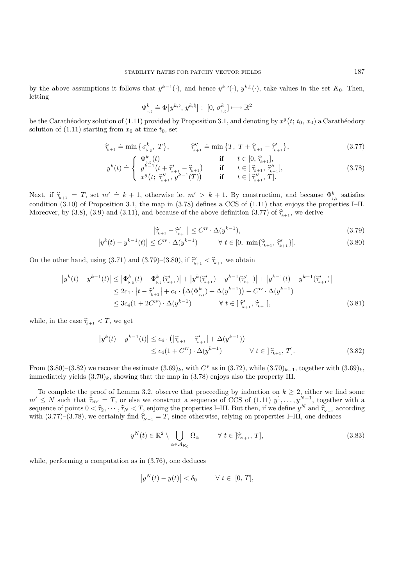by the above assumptions it follows that  $y^{k-1}(\cdot)$ , and hence  $y^{k,\flat}(\cdot)$ ,  $y^{k,\natural}(\cdot)$ , take values in the set  $K_0$ . Then, letting

$$
\Phi_{\text{b},\text{b}}^k \doteq \Phi\big[y^{k,\text{b}},\, y^{k,\text{b}}\big]:\ [0,\,\sigma_{\text{b},\text{b}}^k] \longmapsto \mathbb{R}^2
$$

be the Carathéodory solution of (1.11) provided by Proposition 3.1, and denoting by  $x^g(t; t_0, x_0)$  a Carathéodory solution of  $(1.11)$  starting from  $x_0$  at time  $t_0$ , set

$$
\widehat{\tau}_{k+1} \doteq \min\left\{\sigma_{\flat,\natural}^k, T\right\}, \qquad \widehat{\tau}_{k+1}^{\prime\prime} \doteq \min\left\{T, T + \widehat{\tau}_{k+1} - \widehat{\tau}_{k+1}^{\prime}\right\},\tag{3.77}
$$

$$
y^{k}(t) \doteq \begin{cases} \n\Phi_{\flat,\natural}^{k}(t) & \text{if } t \in [0, \widehat{\tau}_{k+1}],\\ \ny^{k-1}\left(t + \widehat{\tau}_{k+1}^{\prime} - \widehat{\tau}_{k+1}\right) & \text{if } t \in \left[\widehat{\tau}_{k+1}, \widehat{\tau}_{k+1}^{\prime\prime}\right],\\ \nx^{g}\left(t; \widehat{\tau}_{k+1}^{\prime\prime}, y^{k-1}(T)\right) & \text{if } t \in \left[\widehat{\tau}_{k+1}^{\prime\prime}, T\right].\n\end{cases} \tag{3.78}
$$

Next, if  $\hat{\tau}_{k+1} = T$ , set  $m' \doteq k+1$ , otherwise let  $m' > k+1$ . By construction, and because  $\Phi_{k, \text{th}}^k$  satisfies condition (3.10) of Proposition 3.1, the map in (3.78) defines a CCS of (1.11) that enjoys the properties I–II. Moreover, by (3.8), (3.9) and (3.11), and because of the above definition (3.77) of  $\hat{\tau}_{k+1}$ , we derive

$$
\left|\widehat{\tau}_{k+1} - \widehat{\tau}'_{k+1}\right| \le C^{IV} \cdot \Delta(y^{k-1}),\tag{3.79}
$$

$$
\left| y^{k}(t) - y^{k-1}(t) \right| \leq C^{iv} \cdot \Delta(y^{k-1}) \qquad \forall \ t \in [0, \ \min\{\widehat{\tau}_{k+1}, \widehat{\tau}'_{k+1}\}]. \tag{3.80}
$$

On the other hand, using (3.71) and (3.79)–(3.80), if  $\hat{\tau}'_{k+1} < \hat{\tau}_{k+1}$  we obtain

$$
\left| y^{k}(t) - y^{k-1}(t) \right| \leq \left| \Phi_{\flat,\natural}^{k}(t) - \Phi_{\flat,\natural}^{k}(\widehat{\tau}'_{k+1}) \right| + \left| y^{k}(\widehat{\tau}'_{k+1}) - y^{k-1}(\widehat{\tau}'_{k+1}) \right| + \left| y^{k-1}(t) - y^{k-1}(\widehat{\tau}'_{k+1}) \right|
$$
  
\n
$$
\leq 2c_{4} \cdot \left| t - \widehat{\tau}'_{k+1} \right| + c_{4} \cdot \left( \Delta(\Phi_{\flat,\natural}^{k}) + \Delta(y^{k-1}) \right) + C^{IV} \cdot \Delta(y^{k-1})
$$
  
\n
$$
\leq 3c_{4} (1 + 2C^{IV}) \cdot \Delta(y^{k-1}) \qquad \forall \ t \in ]\widehat{\tau}'_{k+1}, \widehat{\tau}_{k+1}], \tag{3.81}
$$

while, in the case  $\widehat{\tau}_{k+1} < T$ , we get

$$
\begin{split} \left| y^{k}(t) - y^{k-1}(t) \right| &\leq c_{4} \cdot \left( \left| \widehat{\tau}_{k+1} - \widehat{\tau}'_{k+1} \right| + \Delta(y^{k-1}) \right) \\ &\leq c_{4} (1 + C^{IV}) \cdot \Delta(y^{k-1}) \qquad \forall \ t \in \left[ \widehat{\tau}_{k+1}, T \right]. \end{split} \tag{3.82}
$$

From  $(3.80)$ – $(3.82)$  we recover the estimate  $(3.69)_k$ , with  $C^v$  as in  $(3.72)$ , while  $(3.70)_{k-1}$ , together with  $(3.69)_k$ , immediately yields  $(3.70)_k$ , showing that the map in  $(3.78)$  enjoys also the property III.

To complete the proof of Lemma 3.2, observe that proceeding by induction on  $k \geq 2$ , either we find some  $m' \leq N$  such that  $\hat{\tau}_{m'} = T$ , or else we construct a sequence of CCS of (1.11)  $y^1, \ldots, y^{N-1}$ , together with a sequence of points  $0 < \hat{\tau}_2, \dots, \hat{\tau}_N < T$ , enjoing the properties I–III. But then, if we define  $y^N$  and  $\hat{\tau}_{N+1}$  according<br>with  $(3.77)-(3.78)$  we certainly find  $\hat{\tau}_{N+1} = T$  since otherwise, relying on properties I–I with (3.77)–(3.78), we certainly find  $\hat{\tau}_{N+1} = T$ , since otherwise, relying on properties I–III, one deduces

$$
y^{N}(t) \in \mathbb{R}^{2} \setminus \bigcup_{\alpha \in \mathcal{A}_{K_{0}}} \Omega_{\alpha} \qquad \forall \ t \in ]\widehat{\tau}_{N+1}, T], \qquad (3.83)
$$

while, performing a computation as in (3.76), one deduces

$$
\left|y^N(t) - y(t)\right| < \delta_0 \qquad \forall \ t \in [0, T],
$$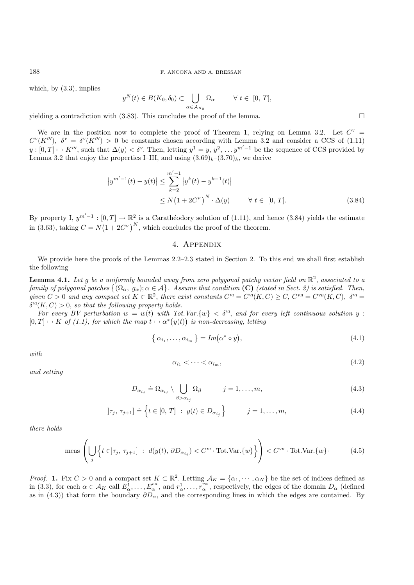which, by  $(3.3)$ , implies

$$
y^N(t) \in B(K_0, \delta_0) \subset \bigcup_{\alpha \in \mathcal{A}_{K_0}} \Omega_\alpha \qquad \forall \ t \in [0, T],
$$

yielding a contradiction with (3.83). This concludes the proof of the lemma.  $\Box$ 

We are in the position now to complete the proof of Theorem 1, relying on Lemma 3.2. Let  $C^v$  =  $C<sup>v</sup>(K''')$ ,  $\delta<sup>v</sup> = \delta<sup>v</sup>(K''') > 0$  be constants chosen according with Lemma 3.2 and consider a CCS of (1.11)  $y: [0, T] \mapsto K^{\prime\prime\prime}$ , such that  $\Delta(y) < \delta^{\nu}$ . Then, letting  $y^1 = y, y^2, \ldots y^{m'-1}$  be the sequence of CCS provided by Lemma 3.2 that enjoy the properties I–III, and using  $(3.69)_k$ – $(3.70)_k$ , we derive

$$
\begin{aligned} |y^{m'-1}(t) - y(t)| &\leq \sum_{k=2}^{m'-1} |y^k(t) - y^{k-1}(t)| \\ &\leq N(1 + 2C^{\mathbf{v}})^N \cdot \Delta(y) \qquad \forall \ t \in [0, T]. \end{aligned} \tag{3.84}
$$

By property I,  $y^{m'-1} : [0,T] \to \mathbb{R}^2$  is a Carathéodory solution of (1.11), and hence (3.84) yields the estimate in (3.63), taking  $C = N(1 + 2C^{\nu})^N$ , which concludes the proof of the theorem.

#### 4. Appendix

We provide here the proofs of the Lemmas  $2.2-2.3$  stated in Section 2. To this end we shall first establish the following

**Lemma 4.1.** Let g be a uniformly bounded away from zero polygonal patchy vector field on  $\mathbb{R}^2$ , associated to a  $family of polygonal patches \{ (\Omega_{\alpha}, g_{\alpha}); \alpha \in A \}.$  Assume that condition **(C)** *(stated in Sect. 2) is satisfied. Then,*<br> $G \subseteq \Omega_{\alpha}$ ,  $G \subseteq \Omega_{\alpha}$ ,  $G \subseteq \Omega_{\alpha}$ ,  $G \subseteq \Omega_{\alpha}$ ,  $G \subseteq \Omega_{\alpha}$ ,  $G \subseteq \Omega_{\alpha}$ ,  $G \subseteq \Omega_{\alpha}$ ,  $G \subseteq \Omega_{\alpha}$ ,  $G \subseteq \Omega_{\alpha}$ ,  $G \subseteq \$ *given*  $C > 0$  *and any compact set*  $K \subset \mathbb{R}^2$ , *there exist constants*  $C^{vi} = C^{vi}(K, C) \geq C$ ,  $C^{vi} = C^{vi}(K, C)$ ,  $\delta^{vi} = C^{v}$  $\delta^{vi}(K, C) > 0$ , *so that the following property holds.* 

*For every BV perturbation*  $w = w(t)$  *with Tot.Var.*{ $w$ }  $\lt \delta^{v}$ , *and for every left continuous solution*  $y$ :  $[0, T] \mapsto K$  of (1.1), for which the map  $t \mapsto \alpha^*(y(t))$  is non-decreasing, letting

$$
\{\alpha_{i_1},\ldots,\alpha_{i_m}\} = Im(\alpha^* \circ y),\tag{4.1}
$$

*with*

$$
\alpha_{i_1} < \cdots < \alpha_{i_m},\tag{4.2}
$$

*and setting*

$$
D_{\alpha_{i_j}} \doteq \Omega_{\alpha_{i_j}} \setminus \bigcup_{\beta > \alpha_{i_j}} \Omega_{\beta} \qquad j = 1, \dots, m,
$$
\n(4.3)

$$
[\tau_j, \tau_{j+1}] \doteq \left\{ t \in [0, T] : y(t) \in D_{\alpha_{i_j}} \right\} \qquad j = 1, ..., m,
$$
\n(4.4)

*there holds*

$$
\text{meas}\left(\bigcup_{j}\left\{t\in]\tau_{j},\,\tau_{j+1}\right\}\;:\;d(y(t),\,\partial D_{\alpha_{i_j}})
$$

*Proof.* **1.** Fix  $C > 0$  and a compact set  $K \subset \mathbb{R}^2$ . Letting  $\mathcal{A}_K = {\alpha_1, \cdots, \alpha_N}$  be the set of indices defined as in (3.3), for each  $\alpha \in A_K$  call  $E^1_{\alpha}, \ldots, E^{\nu_{\alpha}}_{\alpha}$ , and  $r^1_{\alpha}, \ldots, r^{\nu_{\alpha}}_{\alpha}$ , respectively, the edges of the domain  $D_{\alpha}$  (defined<br>as in (4.3)) that form the boundary  $\partial D$  and the corresponding lines in wh as in (4.3)) that form the boundary  $\partial D_{\alpha}$ , and the corresponding lines in which the edges are contained. By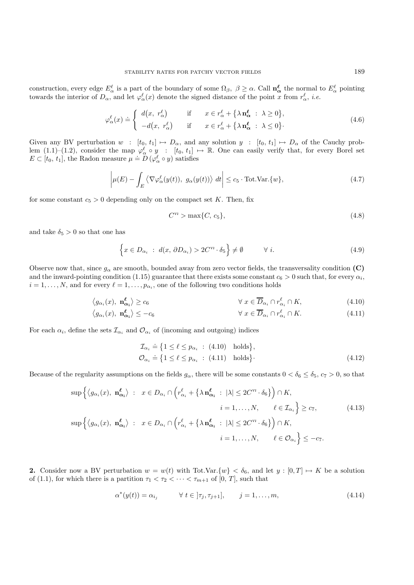construction, every edge  $E^{\ell}_{\alpha}$  is a part of the boundary of some  $\Omega_{\beta}$ ,  $\beta \geq \alpha$ . Call  $\mathbf{n}_{\alpha}^{\ell}$  the normal to  $E^{\ell}_{\alpha}$  pointing<br>towards the interior of  $D_{\alpha}$  and let  $\alpha^{\ell}(x)$  denote the signed distanc towards the interior of  $D_{\alpha}$ , and let  $\varphi_{\alpha}^{\ell}(x)$  denote the signed distance of the point x from  $r_{\alpha}^{\ell}$ , *i.e.* 

$$
\varphi_{\alpha}^{\ell}(x) \doteq \begin{cases} d(x, r_{\alpha}^{\ell}) & \text{if } x \in r_{\alpha}^{\ell} + {\lambda n_{\alpha}^{\ell} : \lambda \ge 0}, \\ -d(x, r_{\alpha}^{\ell}) & \text{if } x \in r_{\alpha}^{\ell} + {\lambda n_{\alpha}^{\ell} : \lambda \le 0}. \end{cases}
$$
(4.6)

Given any BV perturbation  $w : [t_0, t_1] \mapsto D_\alpha$ , and any solution  $y : [t_0, t_1] \mapsto D_\alpha$  of the Cauchy problem (1.1)–(1.2), consider the map  $\varphi_{\alpha}^{\ell} \circ y$  :  $[t_0, t_1] \mapsto \mathbb{R}$ . One can easily verify that, for every Borel set  $E \subset [t_0, t_1]$ , the Radon measure  $\mu = D(\varphi_{\alpha}^{\ell} \circ y)$  satisfies

$$
\left|\mu(E) - \int_{E} \left\langle \nabla \varphi_{\alpha}^{\ell}(y(t)), g_{\alpha}(y(t)) \right\rangle dt \right| \leq c_{5} \cdot \text{Tot.Var.}\{w\},\tag{4.7}
$$

for some constant  $c_5 > 0$  depending only on the compact set K. Then, fix

$$
C^{VI} > \max\{C, c_5\},\tag{4.8}
$$

and take  $\delta_5 > 0$  so that one has

$$
\left\{x \in D_{\alpha_i} : d(x, \partial D_{\alpha_i}) > 2C^{\nu_i} \cdot \delta_5\right\} \neq \emptyset \qquad \forall i.
$$
\n(4.9)

Observe now that, since  $g_{\alpha}$  are smooth, bounded away from zero vector fields, the transversality condition **(C)** and the inward-pointing condition (1.15) guarantee that there exists some constant  $c_6 > 0$  such that, for every  $\alpha_i$ ,  $i = 1, \ldots, N$ , and for every  $\ell = 1, \ldots, p_{\alpha_i}$ , one of the following two conditions holds

$$
\langle g_{\alpha_i}(x), \mathbf{n}_{\alpha_i}^{\ell} \rangle \ge c_6 \qquad \qquad \forall \ x \in \overline{D}_{\alpha_i} \cap r_{\alpha_i}^{\ell} \cap K, \tag{4.10}
$$

$$
\left\langle g_{\alpha_i}(x), \mathbf{n}_{\alpha_i}^{\ell} \right\rangle \leq -c_6 \qquad \qquad \forall \ x \in \overline{D}_{\alpha_i} \cap r_{\alpha_i}^{\ell} \cap K. \tag{4.11}
$$

For each  $\alpha_i$ , define the sets  $\mathcal{I}_{\alpha_i}$  and  $\mathcal{O}_{\alpha_i}$  of (incoming and outgoing) indices

$$
\mathcal{I}_{\alpha_i} \doteq \{ 1 \le \ell \le p_{\alpha_i} : (4.10) \text{ holds} \},\
$$
  

$$
\mathcal{O}_{\alpha_i} \doteq \{ 1 \le \ell \le p_{\alpha_i} : (4.11) \text{ holds} \}.
$$
 (4.12)

Because of the regularity assumptions on the fields  $g_{\alpha}$ , there will be some constants  $0 < \delta_6 \leq \delta_5$ ,  $c_7 > 0$ , so that

$$
\sup \left\{ \langle g_{\alpha_i}(x), \mathbf{n}_{\alpha_i}^{\ell} \rangle : x \in D_{\alpha_i} \cap \left( r_{\alpha_i}^{\ell} + \{\lambda \mathbf{n}_{\alpha_i}^{\ell} : |\lambda| \le 2C^{\mathsf{v}_1} \cdot \delta_6 \} \right) \cap K, \n i = 1, ..., N, \quad \ell \in \mathcal{I}_{\alpha_i} \right\} \ge c_7, \quad (4.13)
$$
\n
$$
\sup \left\{ \langle g_{\alpha_i}(x), \mathbf{n}_{\alpha_i}^{\ell} \rangle : x \in D_{\alpha_i} \cap \left( r_{\alpha_i}^{\ell} + \{\lambda \mathbf{n}_{\alpha_i}^{\ell} : |\lambda| \le 2C^{\mathsf{v}_1} \cdot \delta_6 \} \right) \cap K, \n i = 1, ..., N, \quad \ell \in \mathcal{O}_{\alpha_i} \right\} \le -c_7.
$$

**2.** Consider now a BV perturbation  $w = w(t)$  with Tot.Var. $\{w\} < \delta_6$ , and let  $y : [0, T] \mapsto K$  be a solution of (1.1), for which there is a partition  $\tau_1 < \tau_2 < \cdots < \tau_{m+1}$  of [0, T], such that

$$
\alpha^*(y(t)) = \alpha_{i_j} \qquad \forall \ t \in [\tau_j, \tau_{j+1}], \qquad j = 1, \dots, m,
$$
\n(4.14)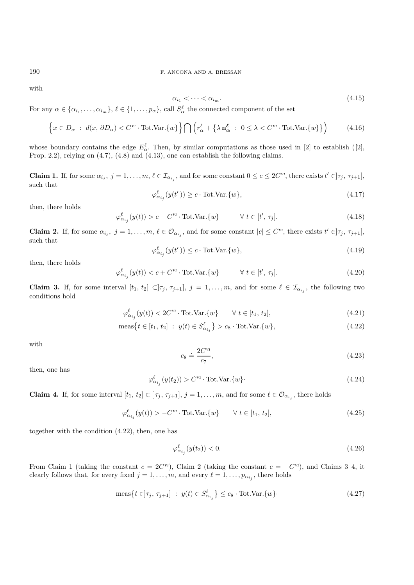with

$$
\alpha_{i_1} < \cdots < \alpha_{i_m}.\tag{4.15}
$$

For any  $\alpha \in \{\alpha_{i_1}, \ldots, \alpha_{i_m}\}, \ell \in \{1, \ldots, p_\alpha\}$ , call  $S_\alpha^{\ell}$  the connected component of the set

$$
\left\{x \in D_{\alpha} : d(x, \partial D_{\alpha}) < C^{\mathsf{v}_1} \cdot \text{Tot.Var.}\{w\}\right\} \bigcap \left(r_{\alpha}^{\ell} + \{\lambda \mathbf{n}_{\alpha}^{\ell} : 0 \leq \lambda < C^{\mathsf{v}_1} \cdot \text{Tot.Var.}\{w\}\}\right) \tag{4.16}
$$

whose boundary contains the edge  $E^{\ell}_{\alpha}$ . Then, by similar computations as those used in [2] to establish ([2], Prop. 2.2), relying on (4.7), (4.8) and (4.13), one can establish the following claims.

**Claim 1.** If, for some  $\alpha_{i_j}$ ,  $j = 1, \ldots, m, \ell \in \mathcal{I}_{\alpha_{i_j}}$ , and for some constant  $0 \le c \le 2C^{\nu_l}$ , there exists  $t' \in ]\tau_j, \tau_{j+1}]$ , such that

$$
\varphi_{\alpha_{i_j}}^{\ell}(y(t')) \ge c \cdot \text{Tot.Var.}\{w\},\tag{4.17}
$$

then, there holds

$$
\varphi_{\alpha_{i_j}}^{\ell}(y(t)) > c - C^{\nu_l} \cdot \text{Tot.Var.}\{w\} \qquad \forall \ t \in [t', \tau_j]. \tag{4.18}
$$

**Claim 2.** If, for some  $\alpha_{i_j}$ ,  $j = 1, \ldots, m$ ,  $\ell \in \mathcal{O}_{\alpha_{i_j}}$ , and for some constant  $|c| \leq C^{\nu_l}$ , there exists  $t' \in ]\tau_j, \tau_{j+1}]$ , such that

$$
\varphi_{\alpha_{i_j}}^{\ell}(y(t')) \le c \cdot \text{Tot.Var.}\{w\},\tag{4.19}
$$

then, there holds

$$
\varphi_{\alpha_{i_j}}^{\ell}(y(t)) < c + C^{\nu \nu} \cdot \text{Tot.Var.}\{w\} \qquad \forall \ t \in [t', \tau_j]. \tag{4.20}
$$

**Claim 3.** If, for some interval  $[t_1, t_2] \subset ]\tau_j, \tau_{j+1}]$ ,  $j = 1, \ldots, m$ , and for some  $\ell \in \mathcal{I}_{\alpha_{i,j}}$ , the following two conditions hold

$$
\varphi_{\alpha_{i_j}}^{\ell}(y(t)) < 2C^{\mathit{vi}} \cdot \text{Tot.Var.}\{w\} \qquad \forall \ t \in [t_1, t_2],\tag{4.21}
$$

$$
\text{meas}\big\{t \in [t_1, t_2] \; : \; y(t) \in S_{\alpha_{i_j}}^{\ell}\big\} > c_8 \cdot \text{Tot.Var.}\{w\},\tag{4.22}
$$

with

$$
c_8 \doteq \frac{2C^{\nu \nu}}{c_7},\tag{4.23}
$$

then, one has

$$
\varphi_{\alpha_{i_j}}^{\ell}(y(t_2)) > C^{\mathsf{v}_1} \cdot \text{Tot.Var.}\{w\} \cdot \tag{4.24}
$$

**Claim 4.** If, for some interval  $[t_1, t_2] \subset [\tau_j, \tau_{j+1}], j = 1, \ldots, m$ , and for some  $\ell \in \mathcal{O}_{\alpha_{i,j}}$ , there holds

$$
\varphi_{\alpha_{i_j}}^{\ell}(y(t)) > -C^{\mathsf{vi}} \cdot \text{Tot.Var.}\{w\} \qquad \forall \ t \in [t_1, t_2],\tag{4.25}
$$

together with the condition (4.22), then, one has

$$
\varphi_{\alpha_{i_j}}^{\ell}(y(t_2)) < 0. \tag{4.26}
$$

From Claim 1 (taking the constant  $c = 2C^{\nu_l}$ ), Claim 2 (taking the constant  $c = -C^{\nu_l}$ ), and Claims 3–4, it clearly follows that, for every fixed  $j = 1, \ldots, m$ , and every  $\ell = 1, \ldots, p_{\alpha_{i,j}}$ , there holds

$$
\operatorname{meas}\left\{t\in\left]\tau_{j},\,\tau_{j+1}\right\}\;:\;y(t)\in S_{\alpha_{i_j}}^{\ell}\right\}\leq c_8\cdot\operatorname{Tot.Var.}\lbrace w\rbrace. \tag{4.27}
$$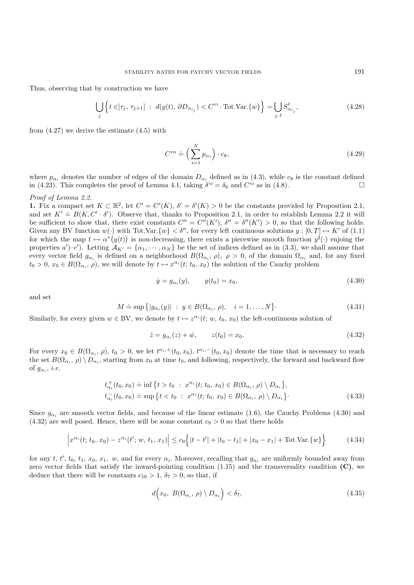Thus, observing that by construction we have

$$
\bigcup_{j} \left\{ t \in ]\tau_j, \tau_{j+1}] \; : \; d(y(t), \, \partial D_{\alpha_{i_j}}) < C^{\text{vi}} \cdot \text{Tot.Var.}\{w\} \right\} = \bigcup_{j, \, \ell} S_{\alpha_{i_j}}^{\ell}, \tag{4.28}
$$

from (4.27) we derive the estimate (4.5) with

$$
C^{\text{vn}} \doteq \left(\sum_{i=1}^{N} p_{\alpha_i}\right) \cdot c_8,\tag{4.29}
$$

where  $p_{\alpha_i}$  denotes the number of edges of the domain  $D_{\alpha_i}$  defined as in (4.3), while  $c_8$  is the constant defined in (4.23). This completes the proof of Lemma 4.1, taking  $\delta^{v_1} = \delta_6$  and  $C^{v_1}$  as in (4.8).  $\Box$ 

#### *Proof of Lemma 2.2.*

**1.** Fix a compact set  $K \subset \mathbb{R}^2$ , let  $C' = C'(K)$ ,  $\delta' = \delta'(K) > 0$  be the constants provided by Proposition 2.1, and set  $K' \doteq B(K, C' \cdot \delta')$ . Observe that, thanks to Proposition 2.1, in order to establish Lemma 2.2 it will be sufficient to show that, there exist constants  $C'' = C''(K')$ ,  $\delta'' = \delta''(K') > 0$ , so that the following holds. Given any BV function  $w(\cdot)$  with Tot.Var. $\{w\} < \delta''$ , for every left continuous solutions  $y : [0, T] \mapsto K'$  of (1.1) for which the map  $t \mapsto \alpha^*(y(t))$  is non-decreasing, there exists a piecewise smooth function  $y^{\sharp}(\cdot)$  enjoing the properties  $a'$ )–c'). Letting  $A_{K'} = \{ \alpha_1, \dots, \alpha_N \}$  be the set of indices defined as in (3.3), we shall assume that every vector field  $g_{\alpha_i}$  is defined on a neighborhood  $B(\Omega_{\alpha_i}, \rho)$ ,  $\rho > 0$ , of the domain  $\Omega_{\alpha_i}$  and, for any fixed  $t_0 > 0$ ,  $x_0 \in B(\Omega_{\alpha_i}, \rho)$ , we will denote by  $t \mapsto x^{\alpha_i}(t; t_0, x_0)$  the solution of the Cauchy problem

$$
\dot{y} = g_{\alpha_i}(y), \qquad y(t_0) = x_0,
$$
\n(4.30)

and set

$$
M \doteq \sup \{|g_{\alpha_i}(y)| \; : \; y \in B(\Omega_{\alpha_i}, \, \rho), \quad i = 1, \dots, N\}.
$$

Similarly, for every given  $w \in BV$ , we denote by  $t \mapsto z^{\alpha_i}(t; w, t_0, x_0)$  the left-continuous solution of

$$
\dot{z} = g_{\alpha_i}(z) + \dot{w}, \qquad z(t_0) = x_0. \tag{4.32}
$$

For every  $x_0 \in B(\Omega_{\alpha_i}, \rho), t_0 > 0$ , we let  $t^{\alpha_i,+}(t_0, x_0), t^{\alpha_i,-}(t_0, x_0)$  denote the time that is necessary to reach the set  $B(\Omega_{\alpha_i}, \rho) \setminus D_{\alpha_i}$ , starting from  $x_0$  at time  $t_0$ , and following, respectively, the forward and backward flow of  $g_{\alpha_i}$ , *i.e.* 

$$
t_{\alpha_i}^+(t_0, x_0) \doteq \inf \{ t > t_0 : x^{\alpha_i}(t; t_0, x_0) \in B(\Omega_{\alpha_i}, \rho) \setminus D_{\alpha_i} \},
$$
  

$$
t_{\alpha_i}^-(t_0, x_0) \doteq \sup \{ t < t_0 : x^{\alpha_i}(t; t_0, x_0) \in B(\Omega_{\alpha_i}, \rho) \setminus D_{\alpha_i} \}.
$$
 (4.33)

Since  $g_{\alpha_i}$  are smooth vector fields, and because of the linear estimate (1.6), the Cauchy Problems (4.30) and  $(4.32)$  are well posed. Hence, there will be some constant  $c_9 > 0$  so that there holds

$$
\left|x^{\alpha_i}(t; t_0, x_0) - z^{\alpha_i}(t'; w, t_1, x_1)\right| \le c_9 \left\{|t - t'| + |t_0 - t_1| + |x_0 - x_1| + \text{Tot.Var.}\{w\}\right\}
$$
(4.34)

for any t, t',  $t_0$ ,  $t_1$ ,  $x_0$ ,  $x_1$ ,  $w$ , and for every  $\alpha_i$ . Moreover, recalling that  $g_{\alpha_i}$  are uniformly bounded away from zero vector fields that satisfy the inward-pointing condition (1.15) and the transversality condition **(C)**, we deduce that there will be constants  $c_{10} > 1$ ,  $\delta_7 > 0$ , so that, if

$$
d\Big(x_0, B(\Omega_{\alpha_i}, \rho) \setminus D_{\alpha_i}\Big) < \delta_7,\tag{4.35}
$$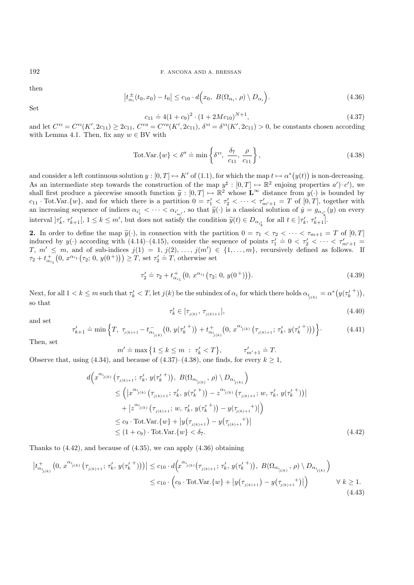then

$$
\left| t_{\alpha_i}^{\pm}(t_0, x_0) - t_0 \right| \le c_{10} \cdot d\Big(x_0, B(\Omega_{\alpha_i}, \rho) \setminus D_{\alpha_i}\Big). \tag{4.36}
$$

Set

$$
c_{11} \doteq 4(1+c_9)^2 \cdot (1+2Mc_{10})^{N+1}, \tag{4.37}
$$

and let  $C^{vi} = C^{vi}(K', 2c_{11}) \ge 2c_{11}$ ,  $C^{vi} = C^{vi}(K', 2c_{11})$ ,  $\delta^{vi} = \delta^{vi}(K', 2c_{11}) > 0$ , be constants chosen according with Lemma 4.1. Then, fix any  $w \in BV$  with

$$
\text{Tot.Var.}\{w\} < \delta'' \doteq \min\left\{\delta^{\nu_l}, \ \frac{\delta_7}{c_{11}}, \frac{\rho}{c_{11}}\right\},\tag{4.38}
$$

and consider a left continuous solution  $y: [0, T] \mapsto K'$  of  $(1.1)$ , for which the map  $t \mapsto \alpha^*(y(t))$  is non-decreasing. As an intermediate step towards the construction of the map  $y^{\sharp} : [0, T] \mapsto \mathbb{R}^2$  enjoing properties  $a'$ )-c'), we shall first produce a piecewise smooth function  $\tilde{y} : [0, T] \mapsto \mathbb{R}^2$  whose  $\mathbf{L}^{\infty}$  distance from  $y(\cdot)$  is bounded by  $c_{11} \cdot \text{Tot.Var.}\{w\}$ , and for which there is a partition  $0 = \tau_1' < \tau_2' < \cdots < \tau_{m'+1}' = T$  of  $[0, T]$ , together with an increasing sequence of indices  $\alpha_{i'_1} < \cdots < \alpha_{i'_{n'}}$ , so that  $\widetilde{y}(\cdot)$  is a classical solution of  $\dot{y} = g_{\alpha_{i'_k}}(y)$  on every interval  $]\tau'_k, \tau'_{k+1}[, 1 \leq k \leq m'$ , but does not satisfy the condition  $\widetilde{y}(t) \in D_{\alpha_{i'_k}}$  for all  $t \in [\tau'_k, \tau'_{k+1}].$ 

**2.** In order to define the map  $\tilde{y}(\cdot)$ , in connection with the partition  $0 = \tau_1 < \tau_2 < \cdots < \tau_{m+1} = T$  of  $[0, T]$ induced by  $y(\cdot)$  according with (4.14)–(4.15), consider the sequence of points  $\tau_1' = 0 < \tau_2' < \cdots < \tau_{m'+1}' = T$ <br>  $T, m' < m$  and of sub-indices  $i(1) = 1$ ,  $i(2)$ ,  $i(m') \in \{1, m\}$ , recursively defined as follows. If  $T, m' \leq m$ , and of sub-indices  $j(1) = 1, j(2), \ldots, j(m') \in \{1, \ldots, m\}$ , recursively defined as follows. If  $\tau_2 + t_{\alpha_{i_1}}^+(0, x^{\alpha_{i_1}}(\tau_2; 0, y(0^+))) \geq T$ , set  $\tau_2' = T$ , otherwise set

$$
\tau_2' \doteq \tau_2 + t_{\alpha_{i_1}}^+(0, x^{\alpha_{i_1}}(\tau_2; 0, y(0^+))).
$$
\n(4.39)

Next, for all  $1 < k \leq m$  such that  $\tau'_k < T$ , let  $j(k)$  be the subindex of  $\alpha_i$  for which there holds  $\alpha_{i_{j(k)}} = \alpha^*(y(\tau'^{k+1}_{k}))$ , so that

$$
\tau'_{k} \in [\tau_{j(k)}, \tau_{j(k)+1}], \tag{4.40}
$$

and set

$$
\tau'_{k+1} \doteq \min\left\{T, \ \tau_{j(k)+1} - t_{\alpha_{i_{j(k)}}}^-(0, \ y(\tau'^{+}_k)) + t_{\alpha_{i_{j(k)}}}^+(0, \ x^{\alpha_{i_{j(k)}}}\left(\tau_{j(k)+1}; \ \tau'_k, \ y(\tau'^{+}_k))\right)\right\}.
$$
 (4.41)

Then, set

$$
m' \doteq \max \{ 1 \le k \le m \; : \; \tau'_k < T \}, \qquad \tau'_{m'+1} \doteq T.
$$

 $m' \doteq \max\left\{1 \leq k \leq m \; : \; \tau'_k < T\right\}, \qquad \tau'_{m'+1} \doteq T.$ <br>Observe that, using (4.34), and because of (4.37)–(4.38), one finds, for every  $k \geq 1$ ,

$$
d\left(x^{\alpha_{j(k)}}\left(\tau_{j(k)+1};\,\tau'_{k},\,y(\tau'_{k}^{+})\right),\,B(\Omega_{\alpha_{j(k)}},\,\rho)\setminus D_{\alpha_{j(k)}}\right) \n\leq \left(|x^{\alpha_{j(k)}}\left(\tau_{j(k)+1};\,\tau'_{k},\,y(\tau'_{k}^{+})\right)-z^{\alpha_{j(k)}}\left(\tau_{j(k)+1};\,w,\,\tau'_{k},\,y(\tau'_{k}^{+})\right)\right| \n+|z^{\alpha_{j(k)}}\left(\tau_{j(k)+1};\,w,\,\tau'_{k},\,y(\tau'_{k}^{+})\right)-y(\tau_{j(k)+1}^{+})|\right) \n\leq c_{9} \cdot \text{Tot.Var.}\{w\} + |y(\tau_{j(k)+1}) - y(\tau_{j(k)+1}^{+})| \n\leq (1+c_{9}) \cdot \text{Tot.Var.}\{w\} < \delta_{7}.
$$
\n(4.42)

Thanks to (4.42), and because of (4.35), we can apply (4.36) obtaining

$$
\left| t_{\alpha_{i_{j(k)}}}^{+} \left(0, x^{\alpha_{i_{j(k)}}} \left(\tau_{j(k)+1}; \tau'_{k}, y(\tau'^{+}_{k})\right)\right)\right| \leq c_{10} \cdot d\left(x^{\alpha_{i_{j(k)}}} \left(\tau_{j(k)+1}; \tau'_{k}, y(\tau'^{+}_{k})\right), B(\Omega_{\alpha_{i_{j(k)}}}, \rho) \setminus D_{\alpha_{i_{j(k)}}}\right) \n\leq c_{10} \cdot \left(c_{9} \cdot \text{Tot.Var.}\{w\} + \left|y(\tau_{j(k)+1}) - y(\tau_{j(k)+1}^{+})\right|\right) \qquad \forall k \geq 1.
$$
\n(4.43)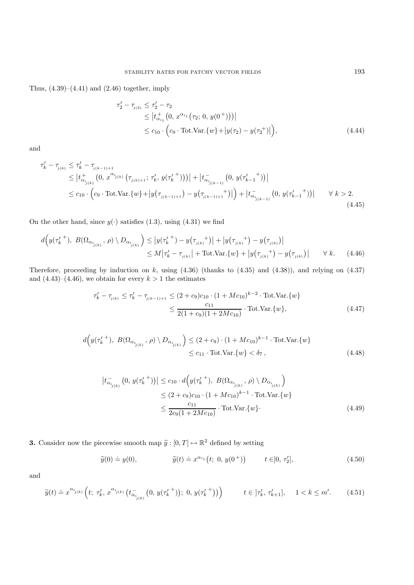Thus,  $(4.39)$ – $(4.41)$  and  $(2.46)$  together, imply

$$
\tau'_{2} - \tau_{j(2)} \leq \tau'_{2} - \tau_{2}
$$
\n
$$
\leq |t_{\alpha_{i_{1}}}^{+}(0, x^{\alpha_{i_{1}}}(\tau_{2}; 0, y(0^{+})))|
$$
\n
$$
\leq c_{10} \cdot \left(c_{9} \cdot \text{Tot.Var.}\{w\} + |y(\tau_{2}) - y(\tau_{2}^{+})|\right), \tag{4.44}
$$

and

$$
\tau'_{k} - \tau_{j(k)} \leq \tau'_{k} - \tau_{j(k-1)+1} \n\leq |t_{\alpha_{i_{j(k)}}}^{+}(0, x^{\alpha_{i_{j(k)}}}(\tau_{j(k)+1}; \tau'_{k}, y(\tau'_{k}^{+})))| + |t_{\alpha_{i_{j(k-1)}}}^{-}(0, y(\tau'_{k-1}^{+}))| \n\leq c_{10} \cdot (c_{9} \cdot \text{Tot.Var.}\{w\} + |y(\tau_{j(k-1)+1}) - y(\tau_{j(k-1)+1}^{+})|) + |t_{\alpha_{i_{j(k-1)}}}^{-}(0, y(\tau'_{k-1}^{+}))| \qquad \forall k > 2.
$$
\n(4.45)

On the other hand, since  $y(\cdot)$  satisfies (1.3), using (4.31) we find

$$
d\left(y(\tau_k'^+), B(\Omega_{\alpha_{j_{(k)}}}, \rho) \setminus D_{\alpha_{j_{(k)}}}\right) \le |y(\tau_k'^+)-y(\tau_{j(k)}^+)| + |y(\tau_{j(k)}^+)-y(\tau_{j(k)})|
$$
  
 
$$
\le M|\tau_k'-\tau_{j(k)}| + \text{Tot.Var.}\{w\} + |y(\tau_{j(k)}^+) - y(\tau_{j(k)})| \qquad \forall k. \tag{4.46}
$$

Therefore, proceeding by induction on  $k$ , using  $(4.36)$  (thanks to  $(4.35)$  and  $(4.38)$ ), and relying on  $(4.37)$ and  $(4.43)$ – $(4.46)$ , we obtain for every  $k > 1$  the estimates

$$
\tau'_{k} - \tau_{j(k)} \le \tau'_{k} - \tau_{j(k-1)+1} \le (2 + c_{9})c_{10} \cdot (1 + Mc_{10})^{k-2} \cdot \text{Tot.Var.}\lbrace w \rbrace
$$
  

$$
\le \frac{c_{11}}{2(1 + c_{9})(1 + 2Mc_{10})} \cdot \text{Tot.Var.}\lbrace w \rbrace,
$$
 (4.47)

$$
d\left(y(\tau_k'^+), B(\Omega_{\alpha_{i_{j(k)}}}, \rho) \setminus D_{\alpha_{i_{j(k)}}}\right) \le (2+c_9) \cdot (1+Mc_{10})^{k-1} \cdot \text{Tot.Var.}\{w\}
$$
  

$$
\le c_{11} \cdot \text{Tot.Var.}\{w\} < \delta_7,
$$
 (4.48)

$$
\left| t_{\alpha_{i_{j(k)}}}^{-}(0, y(\tau_k^{t+})) \right| \le c_{10} \cdot d\left(y(\tau_k^{t+}), B(\Omega_{\alpha_{i_{j(k)}}}, \rho) \setminus D_{\alpha_{i_{j(k)}}}\right)
$$
  

$$
\le (2 + c_9)c_{10} \cdot (1 + Mc_{10})^{k-1} \cdot \text{Tot.Var.}\{w\}
$$
  

$$
\le \frac{c_{11}}{2c_9(1 + 2Mc_{10})} \cdot \text{Tot.Var.}\{w\}.
$$
 (4.49)

**3.** Consider now the piecewise smooth map  $\tilde{y}: [0, T] \mapsto \mathbb{R}^2$  defined by setting

$$
\widetilde{y}(0) \doteq y(0), \qquad \widetilde{y}(t) \doteq x^{\alpha_{i_1}}(t; 0, y(0^+)) \qquad t \in ]0, \tau_2'], \qquad (4.50)
$$

and

$$
\widetilde{y}(t) \doteq x^{\alpha_{j(k)}} \left( t; \ \tau'_k, \ x^{\alpha_{j(k)}} \left( t_{\alpha_{i_{j(k)}}}^{-} \left( 0, y(\tau'_k{}^+ ) \right); \ 0, y(\tau'_k{}^+ ) \right) \right) \qquad t \in [\tau'_k, \ \tau'_{k+1}], \quad 1 < k \le m'. \tag{4.51}
$$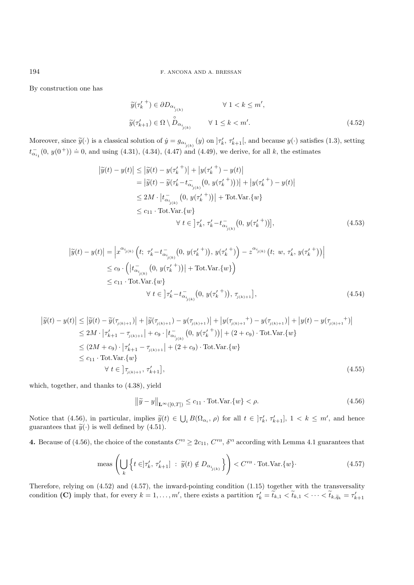By construction one has

$$
\widetilde{y}(\tau_k'^+) \in \partial D_{\alpha_{i_{j(k)}}} \qquad \forall 1 < k \le m',
$$
  

$$
\widetilde{y}(\tau_{k+1}') \in \Omega \setminus \overset{\circ}{D}_{\alpha_{i_{j(k)}}} \qquad \forall 1 \le k < m'. \qquad (4.52)
$$

Moreover, since  $\tilde{y}(\cdot)$  is a classical solution of  $\dot{y} = g_{\alpha_{i_{j(k)}}}(y)$  on  $|\tau'_{k}, \tau'_{k+1}|$ , and because  $y(\cdot)$  satisfies (1.3), setting  $t_{\alpha_{i_1}}(0, y(0^+)) = 0$ , and using (4.31), (4.34), (4.47) and (4.49), we derive, for all k, the estimates

$$
\left|\tilde{y}(t) - y(t)\right| \leq \left|\tilde{y}(t) - y(\tau_k^{t+})\right| + \left|y(\tau_k^{t+}) - y(t)\right|
$$
\n
$$
= \left|\tilde{y}(t) - \tilde{y}(\tau_k^{t-} t_{\alpha_{i_{j(k)}}}^{-}(0, y(\tau_k^{t+})))\right| + \left|y(\tau_k^{t+}) - y(t)\right|
$$
\n
$$
\leq 2M \cdot \left|t_{\alpha_{i_{j(k)}}}^{-}(0, y(\tau_k^{t+}))\right| + \text{Tot.Var.}\{w\}
$$
\n
$$
\leq c_{11} \cdot \text{Tot.Var.}\{w\}
$$
\n
$$
\forall t \in \left[\tau_k^{\prime}, \tau_k^{\prime} - t_{\alpha_{i_{j(k)}}}^{-}(0, y(\tau_k^{t+}))\right],
$$
\n(4.53)

$$
\left| \widetilde{y}(t) - y(t) \right| = \left| x^{\alpha_{i_{j(k)}}} \left( t; \ \tau'_{k} - t^{-}_{\alpha_{i_{j(k)}}} (0, y(\tau'_{k}^{+})) , y(\tau'_{k}^{+}) \right) - z^{\alpha_{i_{j(k)}}} (t; \ w, \ \tau'_{k}, y(\tau'_{k}^{+})) \right|
$$
  
\n
$$
\leq c_{9} \cdot \left( \left| t^{-}_{\alpha_{i_{j(k)}}} (0, y(\tau'_{k}^{+})) \right| + \text{Tot.Var.}\{w\} \right)
$$
  
\n
$$
\leq c_{11} \cdot \text{Tot.Var.}\{w\}
$$
  
\n
$$
\forall t \in \left] \tau'_{k} - t^{-}_{\alpha_{i_{j(k)}}} (0, y(\tau'_{k}^{+})) , \ \tau_{j(k)+1} \right],
$$
\n(4.54)

$$
\left| \tilde{y}(t) - y(t) \right| \leq \left| \tilde{y}(t) - \tilde{y}(\tau_{j(k)+1}) \right| + \left| \tilde{y}(\tau_{j(k)+1}) - y(\tau_{j(k)+1}) \right| + \left| y(\tau_{j(k)+1}) - y(\tau_{j(k)+1}) \right| + \left| y(t) - y(\tau_{j(k)+1}) \right| \newline \leq 2M \cdot \left| \tau'_{k+1} - \tau_{j(k)+1} \right| + c_9 \cdot \left| t_{\alpha_{j(k)}}^{-1} (0, y(\tau'^{+}_{k})) \right| + (2 + c_9) \cdot \text{Tot.Var.}\{w\} \newline \leq (2M + c_9) \cdot \left| \tau'_{k+1} - \tau_{j(k)+1} \right| + (2 + c_9) \cdot \text{Tot.Var.}\{w\} \newline \leq c_{11} \cdot \text{Tot.Var.}\{w\} \newline \forall t \in \left] \tau_{j(k)+1}, \tau'_{k+1} \right], \tag{4.55}
$$

which, together, and thanks to (4.38), yield

$$
\left\|\widetilde{y} - y\right\|_{\mathbf{L}^{\infty}([0,T])} \le c_{11} \cdot \text{Tot.Var.}\{w\} < \rho.
$$
\n
$$
(4.56)
$$

Notice that (4.56), in particular, implies  $\tilde{y}(t) \in \bigcup_i B(\Omega_{\alpha_i}, \rho)$  for all  $t \in \mathcal{F}_k', \tau'_{k+1}$ ,  $1 < k \leq m'$ , and hence guarantees that  $\tilde{y}(\cdot)$  is well defined by (4.51).

**4.** Because of (4.56), the choice of the constants  $C^{vi} \geq 2c_{11}$ ,  $C^{vi}$ ,  $\delta^{vi}$  according with Lemma 4.1 guarantees that

$$
\text{meas}\left(\bigcup_{k} \left\{t \in \left] \tau'_{k}, \, \tau'_{k+1} \right] \; : \; \widetilde{y}(t) \notin D_{\alpha_{i_{j(k)}}} \right\}\right) < C^{\text{vu}} \cdot \text{Tot.Var.}\{w\} \tag{4.57}
$$

Therefore, relying on (4.52) and (4.57), the inward-pointing condition (1.15) together with the transversality condition **(C)** imply that, for every  $k = 1, ..., m'$ , there exists a partition  $\tau'_{k} = t_{k,1} < t_{k,1} < \cdots < t_{k,\tilde{q}_k} = \tau'_{k+1}$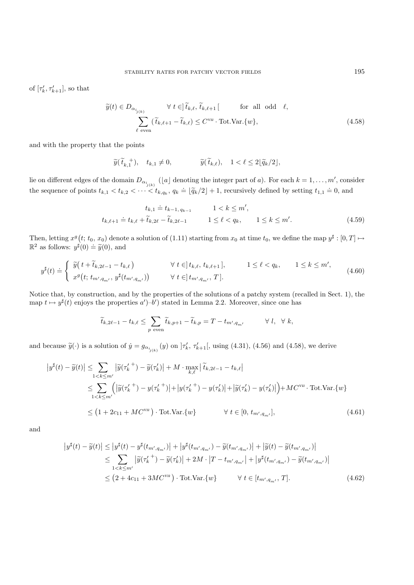of  $[\tau'_k, \tau'_{k+1}],$  so that

$$
\widetilde{y}(t) \in D_{\alpha_{i_{j(k)}}} \qquad \forall \ t \in ]\widetilde{t}_{k,\ell}, \widetilde{t}_{k,\ell+1}[ \qquad \text{for all odd } \ell,
$$
  

$$
\sum_{\ell \text{ even}} (\widetilde{t}_{k,\ell+1} - \widetilde{t}_{k,\ell}) \le C^{\text{vn}} \cdot \text{Tot.Var.}\{w\},
$$
\n(4.58)

and with the property that the points

$$
\widetilde{y}(\widetilde{t}_{k,1}^+), \quad t_{k,1} \neq 0,
$$
\n $\widetilde{y}(\widetilde{t}_{k,\ell}), \quad 1 < \ell \leq 2[\widetilde{q}_k/2],$ 

lie on different edges of the domain  $D_{\alpha_{i_{j(k)}}}$  ([a] denoting the integer part of a). For each  $k = 1, \ldots, m'$ , consider the sequence of points  $t_{k,1} < t_{k,2} < \cdots < t_{k,q_k}$ ,  $q_k \doteq [\tilde{q}_k/2] + 1$ , recursively defined by setting  $t_{1,1} \doteq 0$ , and

$$
t_{k,1} \doteq t_{k-1, q_{k-1}} \qquad 1 < k \le m',
$$
\n
$$
t_{k,\ell+1} \doteq t_{k,\ell} + \tilde{t}_{k,2\ell} - \tilde{t}_{k,2\ell-1} \qquad 1 \le \ell < q_k, \qquad 1 \le k \le m'. \tag{4.59}
$$

Then, letting  $x^g(t; t_0, x_0)$  denote a solution of  $(1.11)$  starting from  $x_0$  at time  $t_0$ , we define the map  $y^{\sharp} : [0, T] \mapsto$  $\mathbb{R}^2$  as follows:  $y^{\sharp}(0) \doteq \widetilde{y}(0)$ , and

$$
y^{\sharp}(t) \doteq \begin{cases} \widetilde{y}(t + \widetilde{t}_{k,2\ell-1} - t_{k,\ell}) & \forall \ t \in ]t_{k,\ell}, t_{k,\ell+1}], & 1 \le \ell < q_k, \quad 1 \le k \le m',\\ x^g\big(t; t_{m',q_{m'}}, y^{\sharp}(t_{m',q_{m'}})\big) & \forall \ t \in ]t_{m',q_{m'}}, T]. \end{cases} \tag{4.60}
$$

Notice that, by construction, and by the properties of the solutions of a patchy system (recalled in Sect. 1), the map  $t \mapsto y^{\sharp}(t)$  enjoys the properties  $a'$ )-b') stated in Lemma 2.2. Moreover, since one has

$$
\widetilde{t}_{k,2\ell-1} - t_{k,\ell} \le \sum_{p \text{ even}} \widetilde{t}_{k,p+1} - \widetilde{t}_{k,p} = T - t_{m',q_{m'}} \qquad \forall l, \forall k,
$$

and because  $\tilde{y}(\cdot)$  is a solution of  $\dot{y} = g_{\alpha_{i_{j(k)}}}(y)$  on  $\vert \tau'_{k}, \tau'_{k+1} \vert$ , using (4.31), (4.56) and (4.58), we derive

$$
\left| y^{\sharp}(t) - \widetilde{y}(t) \right| \leq \sum_{1 < k \leq m'} \left| \widetilde{y}(\tau_k'^+) - \widetilde{y}(\tau_k') \right| + M \cdot \max_{k,\ell} \left| \widetilde{t}_{k,2\ell-1} - t_{k,\ell} \right|
$$
\n
$$
\leq \sum_{1 < k \leq m'} \left( \left| \widetilde{y}(\tau_k'^+) - y(\tau_k'^+) \right| + \left| y(\tau_k'^+) - y(\tau_k') \right| + \left| \widetilde{y}(\tau_k') - y(\tau_k') \right| \right) + MC^{\text{vn}} \cdot \text{Tot.Var.}\{w\}
$$
\n
$$
\leq \left( 1 + 2c_{11} + MC^{\text{vn}} \right) \cdot \text{Tot.Var.}\{w\} \qquad \forall \ t \in [0, t_{m', q_{m'}}], \tag{4.61}
$$

and

$$
\left| y^{\sharp}(t) - \widetilde{y}(t) \right| \leq \left| y^{\sharp}(t) - y^{\sharp}(t_{m',q_{m'}}) \right| + \left| y^{\sharp}(t_{m',q_{m'}}) - \widetilde{y}(t_{m',q_{m'}}) \right| + \left| \widetilde{y}(t) - \widetilde{y}(t_{m',q_{m'}}) \right|
$$
  
\n
$$
\leq \sum_{1 < k \leq m'} \left| \widetilde{y}(\tau'_{k}) - \widetilde{y}(\tau'_{k}) \right| + 2M \cdot \left| T - t_{m',q_{m'}} \right| + \left| y^{\sharp}(t_{m',q_{m'}}) - \widetilde{y}(t_{m',q_{m'}}) \right|
$$
  
\n
$$
\leq \left( 2 + 4c_{11} + 3MC^{\text{vn}} \right) \cdot \text{Tot.Var.}\{w\} \qquad \forall \ t \in [t_{m',q_{m'}}, T]. \tag{4.62}
$$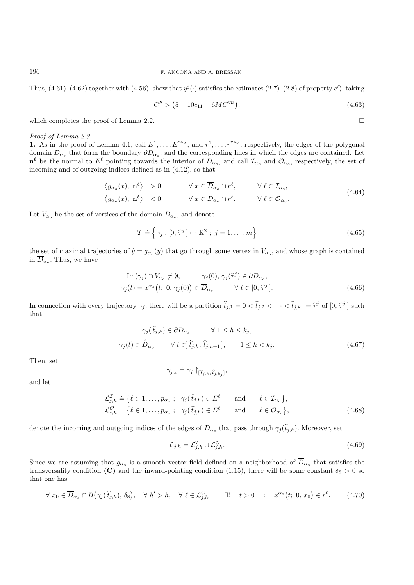Thus,  $(4.61)$ – $(4.62)$  together with  $(4.56)$ , show that  $y^{\sharp}(\cdot)$  satisfies the estimates  $(2.7)$ – $(2.8)$  of property c'), taking

$$
C'' > (5 + 10c_{11} + 6MC^{\text{vn}}), \tag{4.63}
$$

 $\Box$ 

which completes the proof of Lemma 2.2.

#### *Proof of Lemma 2.3.*

**1.** As in the proof of Lemma 4.1, call  $E^1, \ldots, E^{p_{\alpha_o}}$ , and  $r^1, \ldots, r^{p_{\alpha_o}}$ , respectively, the edges of the polygonal domain  $D_{\alpha_0}$  that form the boundary  $\partial D_{\alpha_0}$ , and the corresponding lines in which the edges are contained. Let  $\mathbf{n}^{\ell}$  be the normal to  $E^{\ell}$  pointing towards the interior of  $D_{\alpha_o}$ , and call  $\mathcal{I}_{\alpha_o}$  and  $\mathcal{O}_{\alpha_o}$ , respectively, the set of incoming and of outgoing indices defined as in (4.12), so that

$$
\langle g_{\alpha_o}(x), \mathbf{n}^{\ell} \rangle > 0 \qquad \forall x \in \overline{D}_{\alpha_o} \cap r^{\ell}, \qquad \forall \ell \in \mathcal{I}_{\alpha_o},
$$
  

$$
\langle g_{\alpha_o}(x), \mathbf{n}^{\ell} \rangle < 0 \qquad \forall x \in \overline{D}_{\alpha_o} \cap r^{\ell}, \qquad \forall \ell \in \mathcal{O}_{\alpha_o}.
$$
 (4.64)

Let  $V_{\alpha_o}$  be the set of vertices of the domain  $D_{\alpha_o}$ , and denote

$$
\mathcal{T} \doteq \left\{ \gamma_j : [0, \hat{\tau}^j] \mapsto \mathbb{R}^2 \; ; \; j = 1, \dots, m \right\} \tag{4.65}
$$

the set of maximal trajectories of  $\dot{y} = g_{\alpha} (y)$  that go through some vertex in  $V_{\alpha}$ , and whose graph is contained in  $\overline{D}_{\alpha_o}$ . Thus, we have

$$
\operatorname{Im}(\gamma_j) \cap V_{\alpha_o} \neq \emptyset, \qquad \gamma_j(0), \gamma_j(\hat{\tau}^j) \in \partial D_{\alpha_o},
$$
  

$$
\gamma_j(t) = x^{\alpha_o}(t; 0, \gamma_j(0)) \in \overline{D}_{\alpha_o} \qquad \forall t \in [0, \hat{\tau}^j].
$$
 (4.66)

In connection with every trajectory  $\gamma_j$ , there will be a partition  $\hat{t}_{j,1} = 0 < \hat{t}_{j,2} < \cdots < \hat{t}_{j,k_j} = \hat{\tau}^j$  of  $[0, \hat{\tau}^j]$  such that

$$
\gamma_j(\hat{t}_{j,h}) \in \partial D_{\alpha_o} \qquad \forall \ 1 \le h \le k_j,
$$
  

$$
\gamma_j(t) \in \overset{\circ}{D}_{\alpha_o} \qquad \forall \ t \in ]\hat{t}_{j,h}, \hat{t}_{j,h+1}[,\qquad 1 \le h < k_j.
$$
 (4.67)

Then, set

$$
\gamma_{j,h} \doteq \gamma_j \upharpoonright_{[\hat{t}_{j,h}, \hat{t}_{j,k_j}]},
$$

and let

$$
\mathcal{L}_{j,h}^{\mathcal{I}} \doteq \{ \ell \in 1, \dots, p_{\alpha_o} ; \quad \gamma_j(\hat{t}_{j,h}) \in E^{\ell} \qquad \text{and} \qquad \ell \in \mathcal{I}_{\alpha_o} \},
$$
  

$$
\mathcal{L}_{j,h}^{\mathcal{O}} \doteq \{ \ell \in 1, \dots, p_{\alpha_o} ; \quad \gamma_j(\hat{t}_{j,h}) \in E^{\ell} \qquad \text{and} \qquad \ell \in \mathcal{O}_{\alpha_o} \},
$$
  
(4.68)

denote the incoming and outgoing indices of the edges of  $D_{\alpha_o}$  that pass through  $\gamma_j(\hat{t}_{j,h})$ . Moreover, set

$$
\mathcal{L}_{j,h} \doteq \mathcal{L}_{j,h}^{\mathcal{I}} \cup \mathcal{L}_{j,h}^{\mathcal{O}}.
$$
\n(4.69)

Since we are assuming that  $g_{\alpha_o}$  is a smooth vector field defined on a neighborhood of  $\overline{D}_{\alpha_o}$  that satisfies the transversality condition **(C)** and the inward-pointing condition (1.15), there will be some constant  $\delta_8 > 0$  so that one has

$$
\forall x_0 \in \overline{D}_{\alpha_o} \cap B(\gamma_j(\hat{t}_{j,h}), \delta_8), \quad \forall h' > h, \quad \forall \ell \in \mathcal{L}_{j,h'}^{\mathcal{O}} \quad \exists! \quad t > 0 \quad : \quad x^{\alpha_o}(t; 0, x_0) \in r^{\ell}.\tag{4.70}
$$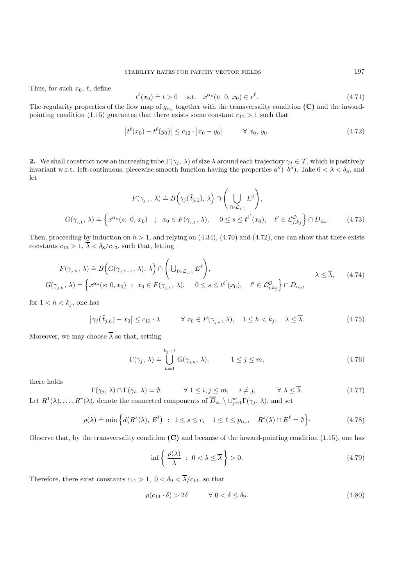Thus, for such  $x_0, \ell$ , define

$$
t^{\ell}(x_0) \doteq t > 0
$$
 s.t.  $x^{\alpha_o}(t; 0, x_0) \in r^{\ell}$ . (4.71)

The regularity properties of the flow map of  $g_{\alpha_o}$  together with the transversality condition **(C)** and the inwardpointing condition (1.15) guarantee that there exists some constant  $c_{12} > 1$  such that

$$
\left|t^{\ell}(x_0) - t^{\ell}(y_0)\right| \le c_{12} \cdot \left|x_0 - y_0\right| \qquad \forall \ x_0, \ y_0. \tag{4.72}
$$

**2.** We shall construct now an increasing tube  $\Gamma(\gamma_j, \lambda)$  of size  $\lambda$  around each trajectory  $\gamma_j \in \mathcal{T}$ , which is positively invariant w.r.t. left-continuous, piecewise smooth function having the properties  $a''$ –b''). Take  $0 < \lambda < \delta_8$ , and let

$$
F(\gamma_{j,1}, \lambda) \doteq B\Big(\gamma_j(\hat{t}_{j,1}), \lambda\Big) \cap \Bigg(\bigcup_{\ell \in \mathcal{L}_{j,1}} E^{\ell}\Bigg),
$$
  

$$
G(\gamma_{j,1}, \lambda) \doteq \Big\{x^{\alpha_o}(s; 0, x_0) \quad ; \quad x_0 \in F(\gamma_{j,1}, \lambda), \quad 0 \le s \le t^{\ell'}(x_0), \quad \ell' \in \mathcal{L}_{j,k_j}^{\mathcal{O}}\Big\} \cap D_{\alpha_o}.
$$
 (4.73)

Then, proceeding by induction on  $h > 1$ , and relying on  $(4.34)$ ,  $(4.70)$  and  $(4.72)$ , one can show that there exists constants  $c_{13} > 1$ ,  $\overline{\lambda} < \delta_8/c_{13}$ , such that, letting

$$
F(\gamma_{j,h}, \lambda) \doteq B\Big(G(\gamma_{j,h-1}, \lambda), \lambda\Big) \cap \Bigg(\bigcup_{\ell \in \mathcal{L}_{j,h}} E^{\ell}\Bigg), \qquad \lambda \leq \overline{\lambda}, \qquad (4.74)
$$
  

$$
G(\gamma_{j,h}, \lambda) \doteq \Big\{x^{\alpha_{o}}(s; 0, x_{0}) \ ; \ x_{0} \in F(\gamma_{j,h}, \lambda), \qquad 0 \leq s \leq t^{\ell'}(x_{0}), \quad \ell' \in \mathcal{L}_{j,k_{j}}^{\mathcal{O}}\Big\} \cap D_{\alpha_{o}},
$$

for  $1 < h < k_j$ , one has

$$
\left|\gamma_j(\hat{t}_{j,h}) - x_0\right| \le c_{13} \cdot \lambda \qquad \forall \; x_0 \in F(\gamma_{j,h}, \lambda), \quad 1 \le h < k_j, \quad \lambda \le \overline{\lambda}.\tag{4.75}
$$

Moreover, we may choose  $\overline{\lambda}$  so that, setting

$$
\Gamma(\gamma_j, \lambda) \doteq \bigcup_{h=1}^{k_j - 1} G(\gamma_{j,h}, \lambda), \qquad 1 \le j \le m,
$$
\n(4.76)

there holds

$$
\Gamma(\gamma_j, \lambda) \cap \Gamma(\gamma_i, \lambda) = \emptyset, \qquad \forall 1 \le i, j \le m, \quad i \ne j, \qquad \forall \lambda \le \overline{\lambda}.
$$
 (4.77)

Let  $R^1(\lambda), \ldots, R^r(\lambda)$ , denote the connected components of  $\overline{D}_{\alpha_o} \setminus \cup_{j=1}^m \Gamma(\gamma_j, \lambda)$ , and set

$$
\rho(\lambda) \doteq \min \left\{ d\big(R^s(\lambda), E^{\ell}\big) \; ; \; 1 \le s \le r, \quad 1 \le \ell \le p_{\alpha_o}, \quad R^s(\lambda) \cap E^{\ell} = \emptyset \right\}.
$$
\n(4.78)

Observe that, by the transversality condition **(C)** and because of the inward-pointing condition (1.15), one has

$$
\inf \left\{ \frac{\rho(\lambda)}{\lambda} \; : \; 0 < \lambda \le \overline{\lambda} \right\} > 0. \tag{4.79}
$$

Therefore, there exist constants  $c_{14} > 1$ ,  $0 < \delta_9 < \overline{\lambda}/c_{14}$ , so that

$$
\rho(c_{14} \cdot \delta) > 2\delta \qquad \forall \ 0 < \delta \le \delta_9. \tag{4.80}
$$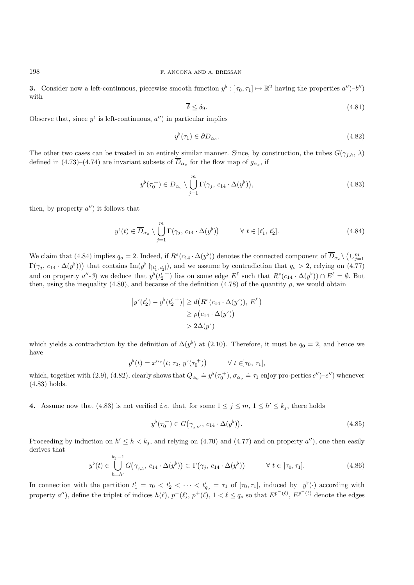**3.** Consider now a left-continuous, piecewise smooth function  $y^{\flat}: |\tau_0, \tau_1| \mapsto \mathbb{R}^2$  having the properties  $a''$ )–b'') with

$$
\overline{\delta} \le \delta_9. \tag{4.81}
$$

Observe that, since  $y^{\flat}$  is left-continuous,  $a''$  in particular implies

$$
y^{\flat}(\tau_1) \in \partial D_{\alpha_o}.\tag{4.82}
$$

The other two cases can be treated in an entirely similar manner. Since, by construction, the tubes  $G(\gamma_{j,h}, \lambda)$ defined in (4.73)–(4.74) are invariant subsets of  $\overline{D}_{\alpha_o}$  for the flow map of  $g_{\alpha_o}$ , if

$$
y^{\flat}(\tau_0^+) \in D_{\alpha_o} \setminus \bigcup_{j=1}^m \Gamma(\gamma_j, c_{14} \cdot \Delta(y^{\flat})), \tag{4.83}
$$

then, by property  $a''$ ) it follows that

$$
y^{\flat}(t) \in \overline{D}_{\alpha_o} \setminus \bigcup_{j=1}^{m} \Gamma(\gamma_j, c_{14} \cdot \Delta(y^{\flat})) \qquad \forall \ t \in [t'_1, t'_2]. \tag{4.84}
$$

We claim that (4.84) implies  $q_o = 2$ . Indeed, if  $R^s(c_{14} \cdot \Delta(y^b))$  denotes the connected component of  $\overline{D}_{\alpha_o} \setminus (\cup_{j=1}^m)$  $\Gamma(\gamma_j, c_{14} \cdot \Delta(y^{\flat}))$  that contains  $\text{Im}(y^{\flat} |_{t'_1, t'_2]})$ , and we assume by contradiction that  $q_o > 2$ , relying on (4.77) and on property  $a''$ -3) we deduce that  $y^{\flat}(t_2'^{+})$  lies on some edge  $E^{\ell}$  such that  $R^s(c_{14} \cdot \Delta(y^{\flat})) \cap E^{\ell} = \emptyset$ . But then, using the inequality (4.80), and because of the definition (4.78) of the quantity  $\rho$ , we would obtain

$$
\left|y^{\flat}(t_2') - y^{\flat}(t_2'^{-1})\right| \ge d\left(R^s(c_{14} \cdot \Delta(y^{\flat})), E^{\ell}\right)
$$

$$
\ge \rho\left(c_{14} \cdot \Delta(y^{\flat})\right)
$$

$$
> 2\Delta(y^{\flat})
$$

which yields a contradiction by the definition of  $\Delta(y^{\flat})$  at (2.10). Therefore, it must be  $q_0 = 2$ , and hence we have

$$
y^{\flat}(t) = x^{\alpha_o}(t; \tau_0, y^{\flat}(\tau_0^+)) \qquad \forall t \in ]\tau_0, \tau_1],
$$

which, together with (2.9), (4.82), clearly shows that  $Q_{\alpha_o} \doteq y^{\flat}(\tau_0^+), \sigma_{\alpha_o} \doteq \tau_1$  enjoy pro-perties  $c'$ )– $e''$ ) whenever (4.83) holds.

**4.** Assume now that (4.83) is not verified *i.e.* that, for some  $1 \leq j \leq m, 1 \leq h' \leq k_j$ , there holds

$$
y^{\flat}(\tau_0^+) \in G(\gamma_{j,h'}, c_{14} \cdot \Delta(y^{\flat})). \tag{4.85}
$$

Proceeding by induction on  $h' \le h < k_j$ , and relying on (4.70) and (4.77) and on property  $a''$ ), one then easily derives that

$$
y^{\flat}(t) \in \bigcup_{h=h'}^{k_j-1} G(\gamma_{j,h}, c_{14} \cdot \Delta(y^{\flat})) \subset \Gamma(\gamma_j, c_{14} \cdot \Delta(y^{\flat})) \qquad \forall \ t \in [\tau_0, \tau_1]. \tag{4.86}
$$

In connection with the partition  $t'_1 = \tau_0 < t'_2 < \cdots < t'_{q_o} = \tau_1$  of  $[\tau_0, \tau_1]$ , induced by  $y^{\flat}(\cdot)$  according with property a''), define the triplet of indices  $h(\ell), p^-(\ell), p^+(\ell), 1 < \ell \leq q_o$  so that  $E^{p^-(\ell)}, E^{p^+(\ell)}$  denote the edges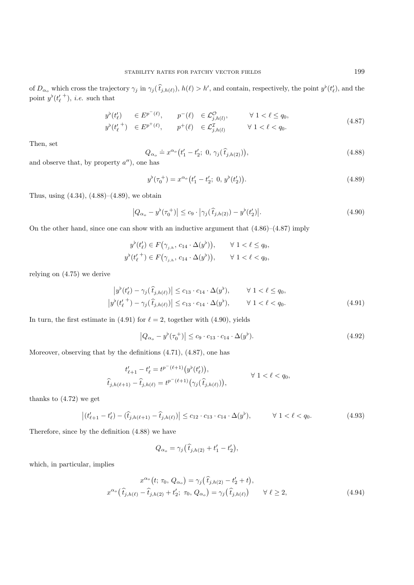of  $D_{\alpha_{\rho}}$  which cross the trajectory  $\gamma_j$  in  $\gamma_j(\tilde{t}_{j,h(\ell)})$ ,  $h(\ell) > h'$ , and contain, respectively, the point  $y^{\flat}(t'_{\ell})$ , and the point  $y^{\flat}(t_{\ell}^{\prime})$ , *i.e.* such that

$$
y^{\flat}(t_{\ell}^{\prime}) \in E^{p^{-}(\ell)}, \qquad p^{-}(\ell) \in \mathcal{L}_{j,h(l)}^{\mathcal{O}}, \qquad \forall 1 < \ell \leq q_{0},
$$
  
\n
$$
y^{\flat}(t_{\ell}^{\prime+}) \in E^{p^{+}(\ell)}, \qquad p^{+}(\ell) \in \mathcal{L}_{j,h(l)}^{\mathcal{I}} \qquad \forall 1 < \ell < q_{0}.
$$
\n(4.87)

Then, set

$$
Q_{\alpha_o} \doteq x^{\alpha_o} (t'_1 - t'_2; 0, \gamma_j(\hat{t}_{j,h(2)})),
$$
\n(4.88)

and observe that, by property  $a'$ , one has

$$
y^{\flat}(\tau_0^+) = x^{\alpha_o}(t_1' - t_2'; 0, y^{\flat}(t_2')). \tag{4.89}
$$

Thus, using  $(4.34)$ ,  $(4.88)$ – $(4.89)$ , we obtain

$$
|Q_{\alpha_o} - y^{\flat}(\tau_0^+)| \le c_9 \cdot |\gamma_j(\hat{t}_{j,h(2)}) - y^{\flat}(t_2')|.
$$
 (4.90)

On the other hand, since one can show with an inductive argument that (4.86)–(4.87) imply

$$
y^{\flat}(t'_{\ell}) \in F(\gamma_{j,h}, c_{14} \cdot \Delta(y^{\flat})), \qquad \forall \ 1 < \ell \leq q_0,
$$
  

$$
y^{\flat}(t'_{\ell}^+) \in F(\gamma_{j,h}, c_{14} \cdot \Delta(y^{\flat})), \qquad \forall \ 1 < \ell < q_0,
$$

relying on (4.75) we derive

$$
\left| y^{\flat}(t_{\ell}') - \gamma_j(\hat{t}_{j,h(\ell)}) \right| \le c_{13} \cdot c_{14} \cdot \Delta(y^{\flat}), \qquad \forall 1 < \ell \le q_0,
$$
  

$$
\left| y^{\flat}(t_{\ell}'^+) - \gamma_j(\hat{t}_{j,h(\ell)}) \right| \le c_{13} \cdot c_{14} \cdot \Delta(y^{\flat}), \qquad \forall 1 < \ell < q_0.
$$
 (4.91)

In turn, the first estimate in (4.91) for  $\ell = 2$ , together with (4.90), yields

$$
\left|Q_{\alpha_o} - y^{\flat}(\tau_0^+) \right| \le c_9 \cdot c_{13} \cdot c_{14} \cdot \Delta(y^{\flat}). \tag{4.92}
$$

Moreover, observing that by the definitions (4.71), (4.87), one has

$$
t'_{\ell+1} - t'_{\ell} = t^{p^-(\ell+1)}(y^{\flat}(t'_{\ell})),
$$
  

$$
\hat{t}_{j,h(\ell+1)} - \hat{t}_{j,h(\ell)} = t^{p^-(\ell+1)}(\gamma_j(\hat{t}_{j,h(\ell)})), \qquad \forall 1 < \ell < q_0,
$$

thanks to (4.72) we get

$$
\left| (t'_{\ell+1} - t'_{\ell}) - (\hat{t}_{j,h(\ell+1)} - \hat{t}_{j,h(\ell)}) \right| \le c_{12} \cdot c_{13} \cdot c_{14} \cdot \Delta(y^{\flat}), \qquad \forall \ 1 < \ell < q_0.
$$
 (4.93)

Therefore, since by the definition (4.88) we have

$$
Q_{\alpha_o} = \gamma_j \big( \widehat{t}_{j,h(2)} + t'_1 - t'_2 \big),
$$

which, in particular, implies

$$
x^{\alpha_o}(t; \tau_0, Q_{\alpha_o}) = \gamma_j(\hat{t}_{j,h(2)} - t'_2 + t),
$$
  

$$
x^{\alpha_o}(\hat{t}_{j,h(\ell)} - \hat{t}_{j,h(2)} + t'_2; \ \tau_0, Q_{\alpha_o}) = \gamma_j(\hat{t}_{j,h(\ell)}) \qquad \forall \ \ell \ge 2,
$$
 (4.94)